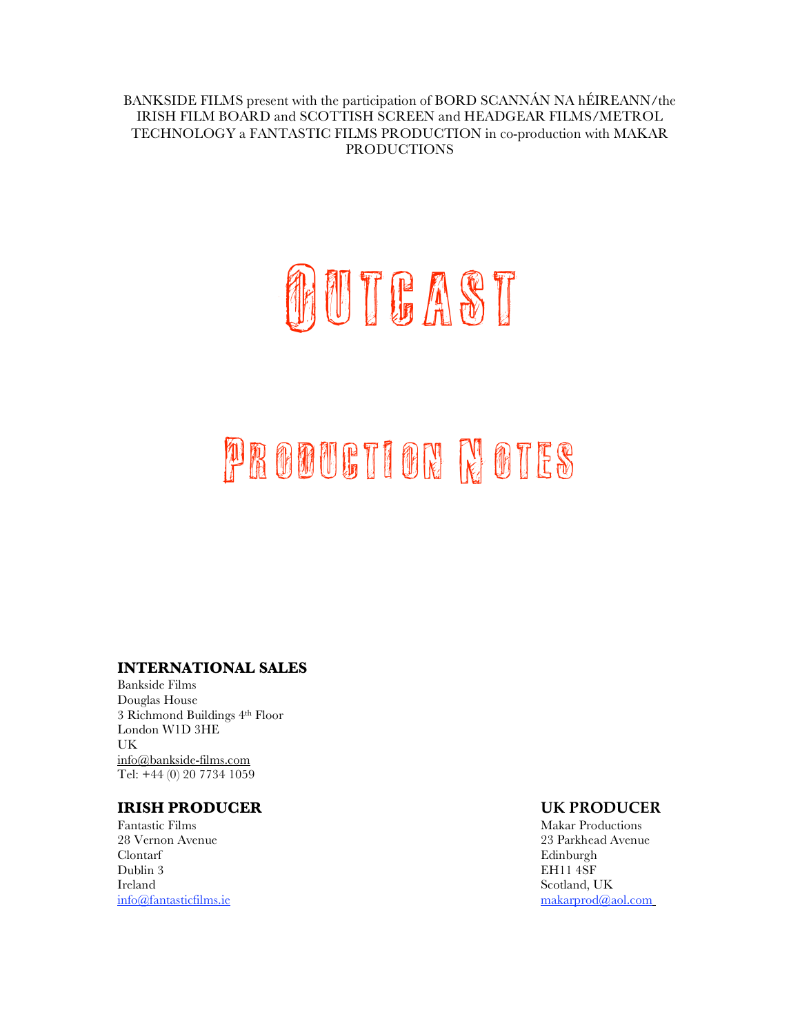BANKSIDE FILMS present with the participation of BORD SCANNÁN NA hÉIREANN/the IRISH FILM BOARD and SCOTTISH SCREEN and HEADGEAR FILMS/METROL TECHNOLOGY a FANTASTIC FILMS PRODUCTION in co-production with MAKAR **PRODUCTIONS** 

# OUTGAST

## Production Notes

#### **INTERNATIONAL SALES**

Bankside Films Douglas House 3 Richmond Buildings 4th Floor London W1D 3HE UK info@bankside-films.com Tel: +44 (0) 20 7734 1059

#### **IRISH PRODUCER UK PRODUCER**

Fantastic Films Makar Productions 28 Vernon Avenue 23 Parkhead Avenue Clontarf Edinburgh Dublin 3 EH11 4SF Ireland Scotland, UK info@fantasticfilms.ie makarprod@aol.com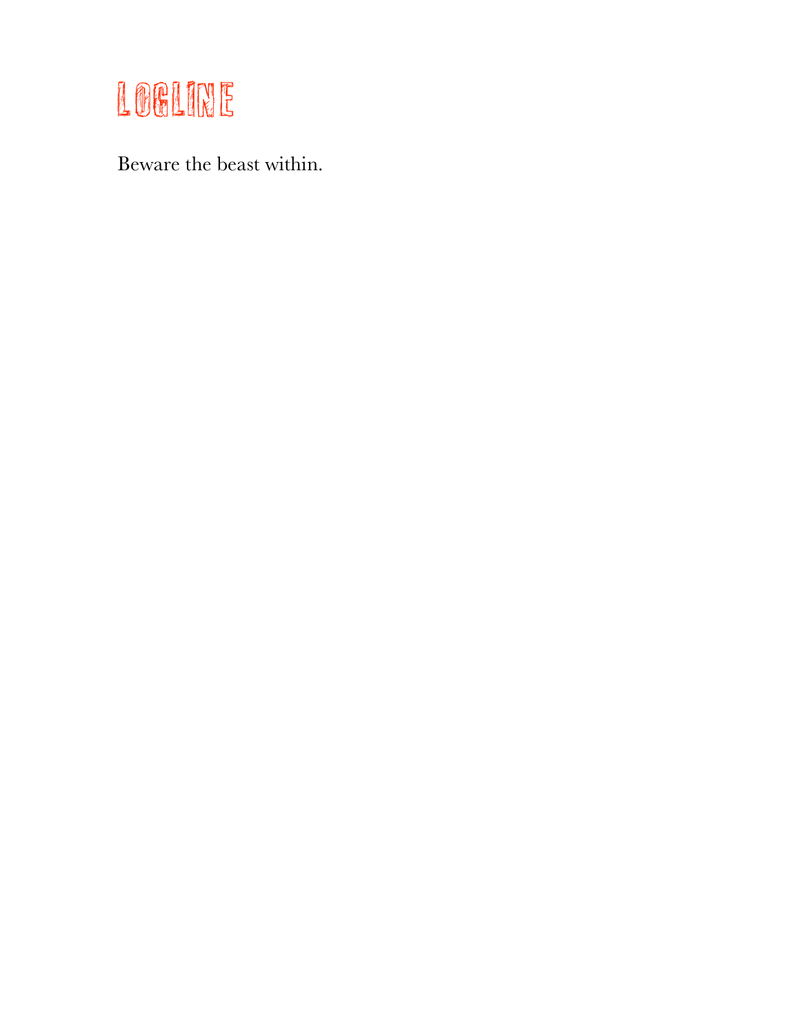

Beware the beast within.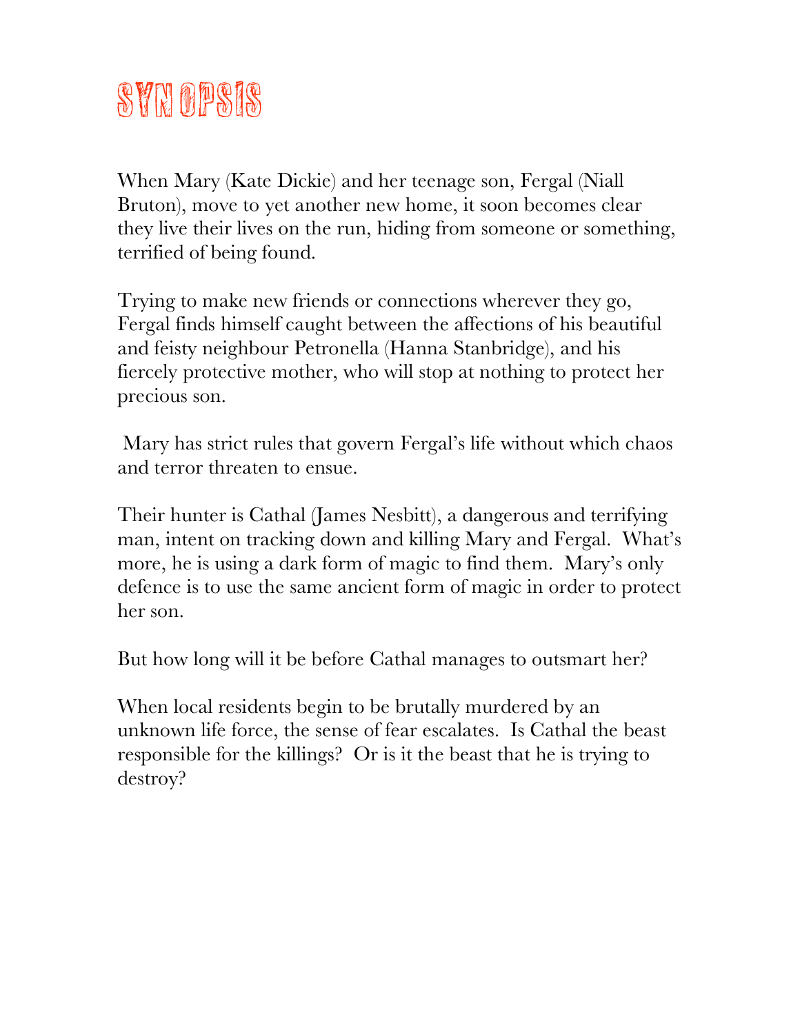### SYNOPSIS

When Mary (Kate Dickie) and her teenage son, Fergal (Niall Bruton), move to yet another new home, it soon becomes clear they live their lives on the run, hiding from someone or something, terrified of being found.

Trying to make new friends or connections wherever they go, Fergal finds himself caught between the affections of his beautiful and feisty neighbour Petronella (Hanna Stanbridge), and his fiercely protective mother, who will stop at nothing to protect her precious son.

 Mary has strict rules that govern Fergal's life without which chaos and terror threaten to ensue.

Their hunter is Cathal (James Nesbitt), a dangerous and terrifying man, intent on tracking down and killing Mary and Fergal. What's more, he is using a dark form of magic to find them. Mary's only defence is to use the same ancient form of magic in order to protect her son.

But how long will it be before Cathal manages to outsmart her?

When local residents begin to be brutally murdered by an unknown life force, the sense of fear escalates. Is Cathal the beast responsible for the killings? Or is it the beast that he is trying to destroy?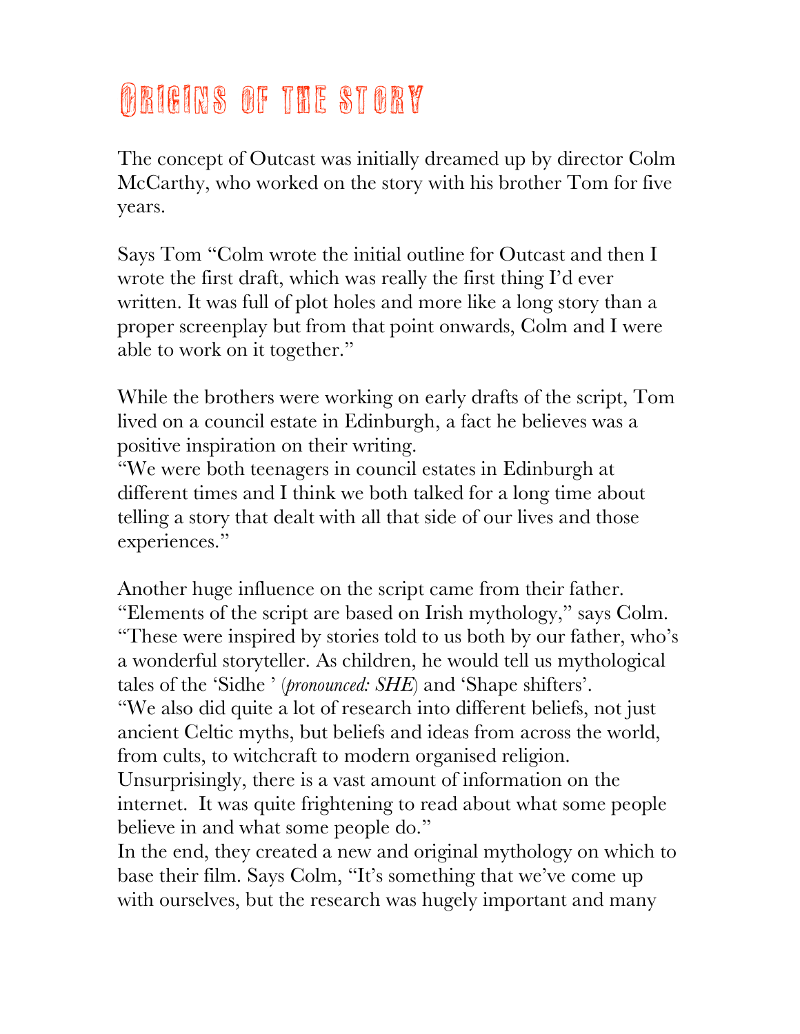### ORIGINS OF THE STORY

The concept of Outcast was initially dreamed up by director Colm McCarthy, who worked on the story with his brother Tom for five years.

Says Tom "Colm wrote the initial outline for Outcast and then I wrote the first draft, which was really the first thing I'd ever written. It was full of plot holes and more like a long story than a proper screenplay but from that point onwards, Colm and I were able to work on it together."

While the brothers were working on early drafts of the script, Tom lived on a council estate in Edinburgh, a fact he believes was a positive inspiration on their writing.

"We were both teenagers in council estates in Edinburgh at different times and I think we both talked for a long time about telling a story that dealt with all that side of our lives and those experiences."

Another huge influence on the script came from their father. "Elements of the script are based on Irish mythology," says Colm. "These were inspired by stories told to us both by our father, who's a wonderful storyteller. As children, he would tell us mythological tales of the 'Sidhe ' (*pronounced: SHE*) and 'Shape shifters'. "We also did quite a lot of research into different beliefs, not just ancient Celtic myths, but beliefs and ideas from across the world, from cults, to witchcraft to modern organised religion. Unsurprisingly, there is a vast amount of information on the internet. It was quite frightening to read about what some people believe in and what some people do."

In the end, they created a new and original mythology on which to base their film. Says Colm, "It's something that we've come up with ourselves, but the research was hugely important and many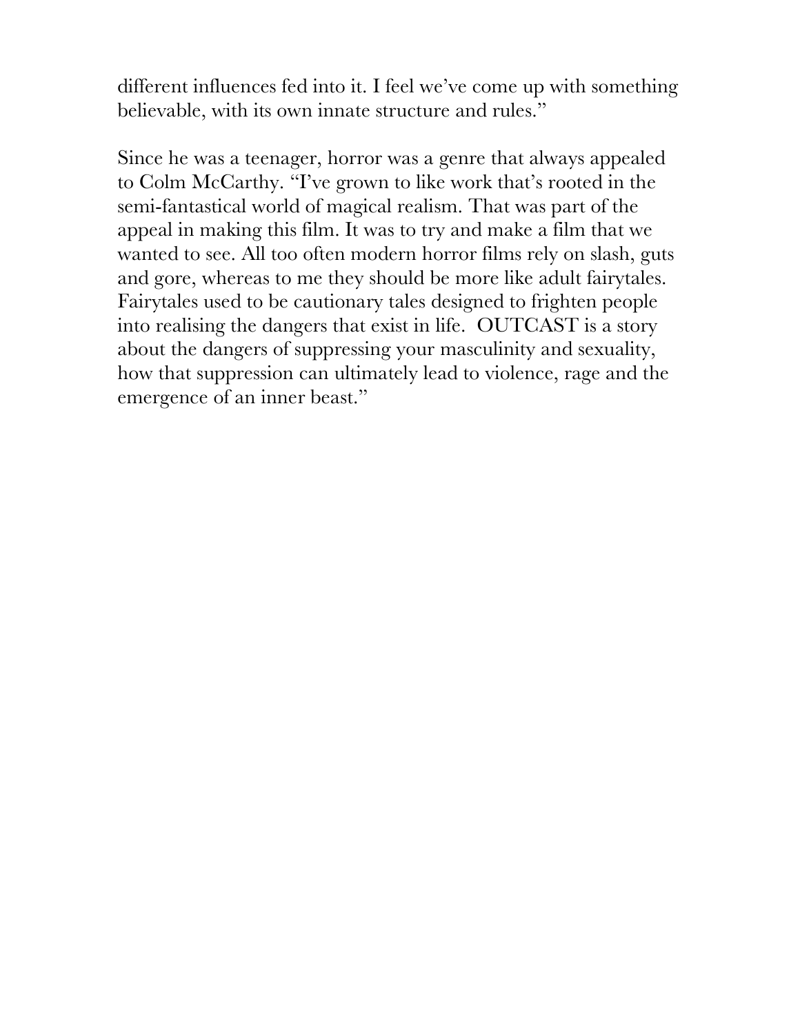different influences fed into it. I feel we've come up with something believable, with its own innate structure and rules."

Since he was a teenager, horror was a genre that always appealed to Colm McCarthy. "I've grown to like work that's rooted in the semi-fantastical world of magical realism. That was part of the appeal in making this film. It was to try and make a film that we wanted to see. All too often modern horror films rely on slash, guts and gore, whereas to me they should be more like adult fairytales. Fairytales used to be cautionary tales designed to frighten people into realising the dangers that exist in life. OUTCAST is a story about the dangers of suppressing your masculinity and sexuality, how that suppression can ultimately lead to violence, rage and the emergence of an inner beast."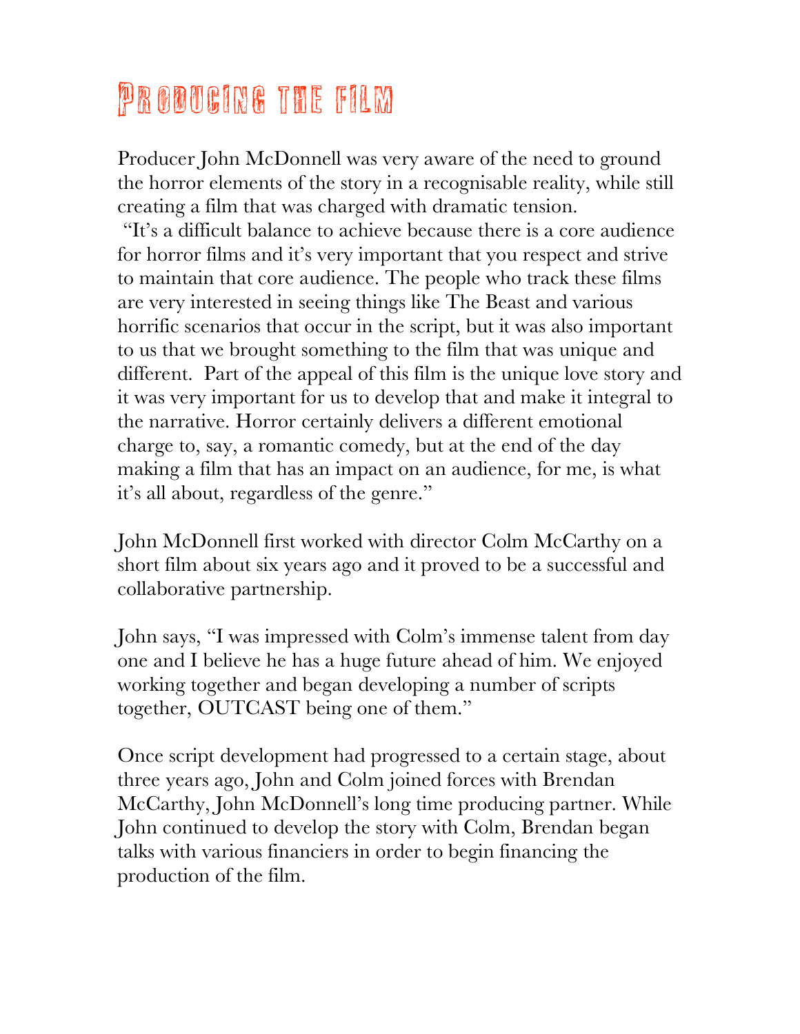### Producing the film

Producer John McDonnell was very aware of the need to ground the horror elements of the story in a recognisable reality, while still creating a film that was charged with dramatic tension.

 "It's a difficult balance to achieve because there is a core audience for horror films and it's very important that you respect and strive to maintain that core audience. The people who track these films are very interested in seeing things like The Beast and various horrific scenarios that occur in the script, but it was also important to us that we brought something to the film that was unique and different. Part of the appeal of this film is the unique love story and it was very important for us to develop that and make it integral to the narrative. Horror certainly delivers a different emotional charge to, say, a romantic comedy, but at the end of the day making a film that has an impact on an audience, for me, is what it's all about, regardless of the genre."

John McDonnell first worked with director Colm McCarthy on a short film about six years ago and it proved to be a successful and collaborative partnership.

John says, "I was impressed with Colm's immense talent from day one and I believe he has a huge future ahead of him. We enjoyed working together and began developing a number of scripts together, OUTCAST being one of them."

Once script development had progressed to a certain stage, about three years ago, John and Colm joined forces with Brendan McCarthy, John McDonnell's long time producing partner. While John continued to develop the story with Colm, Brendan began talks with various financiers in order to begin financing the production of the film.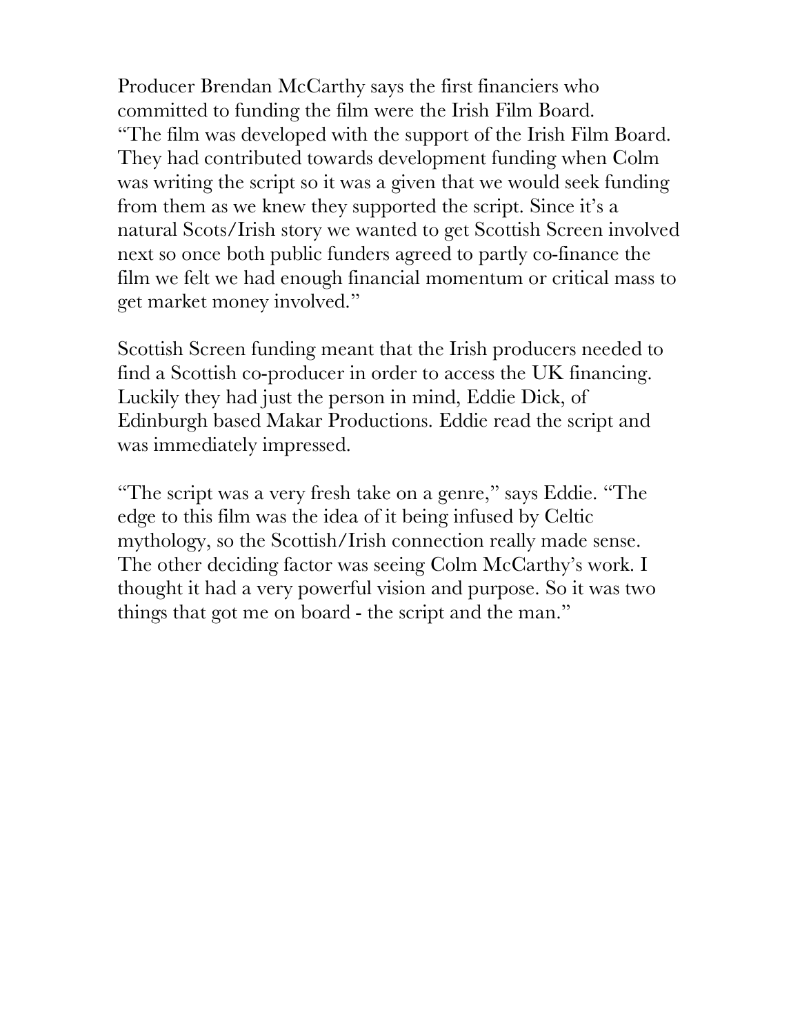Producer Brendan McCarthy says the first financiers who committed to funding the film were the Irish Film Board. "The film was developed with the support of the Irish Film Board. They had contributed towards development funding when Colm was writing the script so it was a given that we would seek funding from them as we knew they supported the script. Since it's a natural Scots/Irish story we wanted to get Scottish Screen involved next so once both public funders agreed to partly co-finance the film we felt we had enough financial momentum or critical mass to get market money involved."

Scottish Screen funding meant that the Irish producers needed to find a Scottish co-producer in order to access the UK financing. Luckily they had just the person in mind, Eddie Dick, of Edinburgh based Makar Productions. Eddie read the script and was immediately impressed.

"The script was a very fresh take on a genre," says Eddie. "The edge to this film was the idea of it being infused by Celtic mythology, so the Scottish/Irish connection really made sense. The other deciding factor was seeing Colm McCarthy's work. I thought it had a very powerful vision and purpose. So it was two things that got me on board - the script and the man."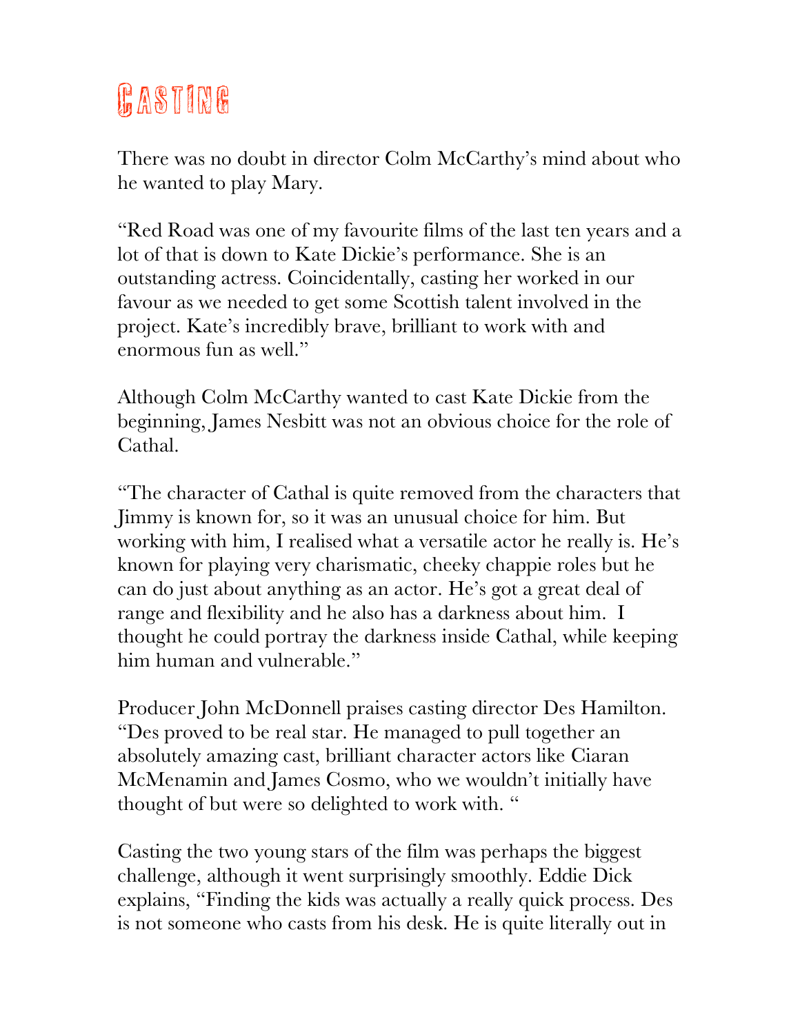### **GASTING**

There was no doubt in director Colm McCarthy's mind about who he wanted to play Mary.

"Red Road was one of my favourite films of the last ten years and a lot of that is down to Kate Dickie's performance. She is an outstanding actress. Coincidentally, casting her worked in our favour as we needed to get some Scottish talent involved in the project. Kate's incredibly brave, brilliant to work with and enormous fun as well."

Although Colm McCarthy wanted to cast Kate Dickie from the beginning, James Nesbitt was not an obvious choice for the role of Cathal.

"The character of Cathal is quite removed from the characters that Jimmy is known for, so it was an unusual choice for him. But working with him, I realised what a versatile actor he really is. He's known for playing very charismatic, cheeky chappie roles but he can do just about anything as an actor. He's got a great deal of range and flexibility and he also has a darkness about him. I thought he could portray the darkness inside Cathal, while keeping him human and vulnerable."

Producer John McDonnell praises casting director Des Hamilton. "Des proved to be real star. He managed to pull together an absolutely amazing cast, brilliant character actors like Ciaran McMenamin and James Cosmo, who we wouldn't initially have thought of but were so delighted to work with. "

Casting the two young stars of the film was perhaps the biggest challenge, although it went surprisingly smoothly. Eddie Dick explains, "Finding the kids was actually a really quick process. Des is not someone who casts from his desk. He is quite literally out in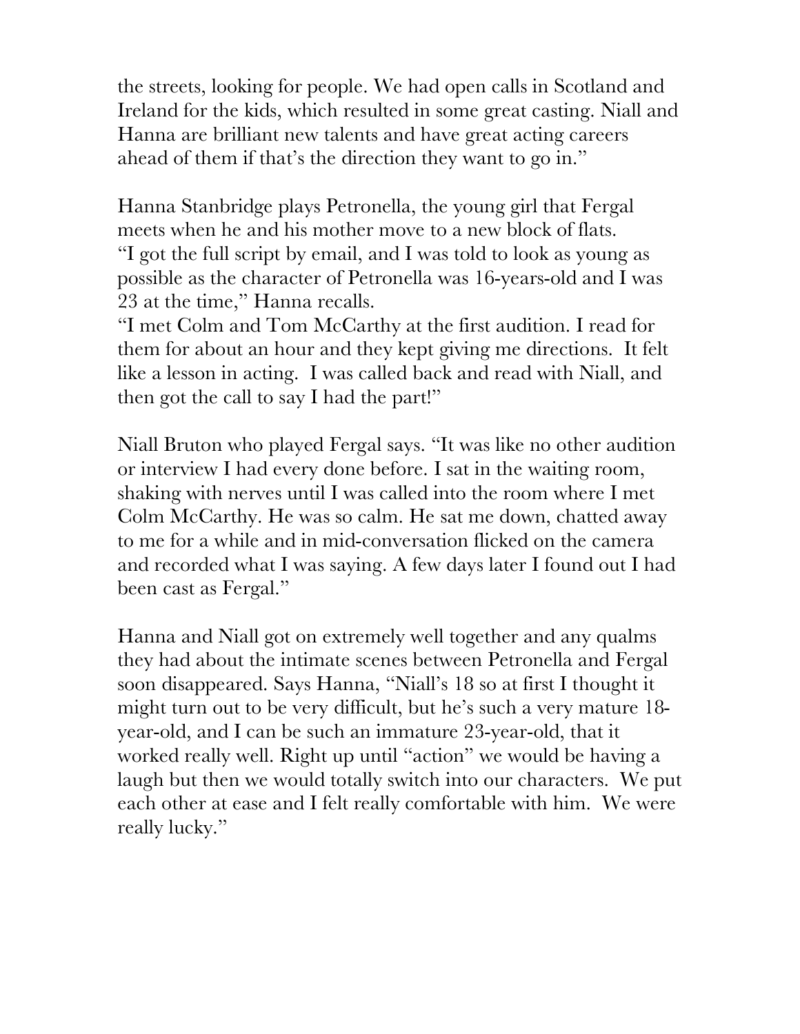the streets, looking for people. We had open calls in Scotland and Ireland for the kids, which resulted in some great casting. Niall and Hanna are brilliant new talents and have great acting careers ahead of them if that's the direction they want to go in."

Hanna Stanbridge plays Petronella, the young girl that Fergal meets when he and his mother move to a new block of flats. "I got the full script by email, and I was told to look as young as possible as the character of Petronella was 16-years-old and I was 23 at the time," Hanna recalls.

"I met Colm and Tom McCarthy at the first audition. I read for them for about an hour and they kept giving me directions. It felt like a lesson in acting. I was called back and read with Niall, and then got the call to say I had the part!"

Niall Bruton who played Fergal says. "It was like no other audition or interview I had every done before. I sat in the waiting room, shaking with nerves until I was called into the room where I met Colm McCarthy. He was so calm. He sat me down, chatted away to me for a while and in mid-conversation flicked on the camera and recorded what I was saying. A few days later I found out I had been cast as Fergal."

Hanna and Niall got on extremely well together and any qualms they had about the intimate scenes between Petronella and Fergal soon disappeared. Says Hanna, "Niall's 18 so at first I thought it might turn out to be very difficult, but he's such a very mature 18 year-old, and I can be such an immature 23-year-old, that it worked really well. Right up until "action" we would be having a laugh but then we would totally switch into our characters. We put each other at ease and I felt really comfortable with him. We were really lucky."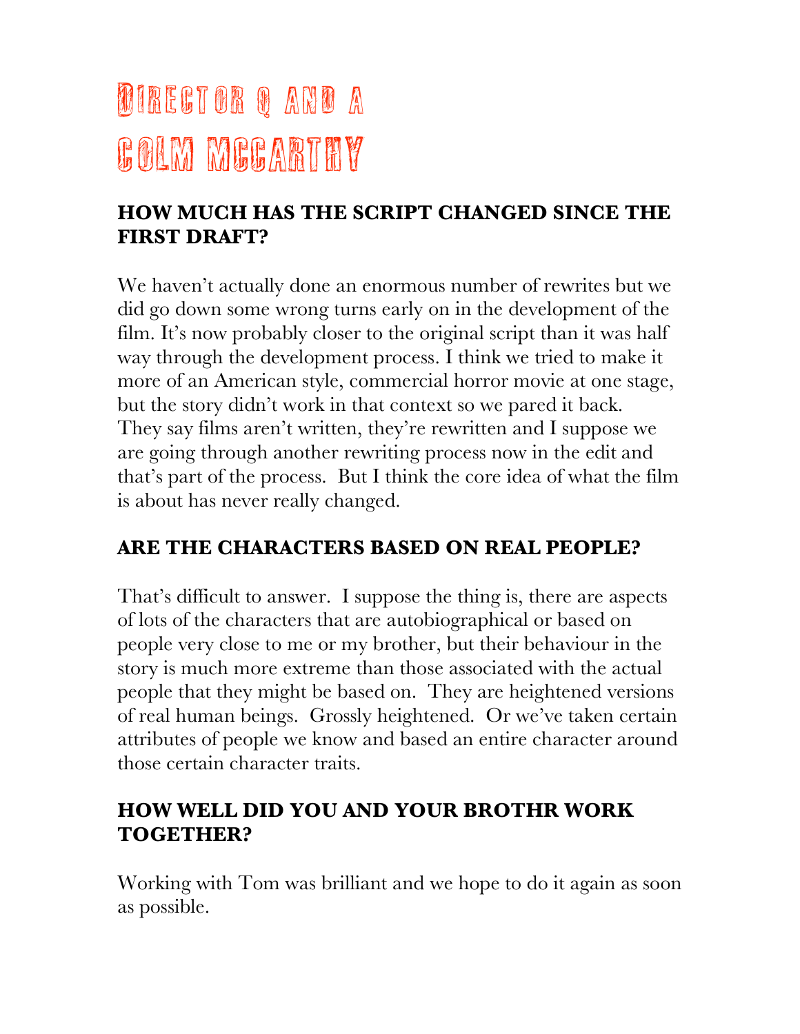### DIREGTOR Q AND A GOLM MGGARTHY

#### **HOW MUCH HAS THE SCRIPT CHANGED SINCE THE FIRST DRAFT?**

We haven't actually done an enormous number of rewrites but we did go down some wrong turns early on in the development of the film. It's now probably closer to the original script than it was half way through the development process. I think we tried to make it more of an American style, commercial horror movie at one stage, but the story didn't work in that context so we pared it back. They say films aren't written, they're rewritten and I suppose we are going through another rewriting process now in the edit and that's part of the process. But I think the core idea of what the film is about has never really changed.

#### **ARE THE CHARACTERS BASED ON REAL PEOPLE?**

That's difficult to answer. I suppose the thing is, there are aspects of lots of the characters that are autobiographical or based on people very close to me or my brother, but their behaviour in the story is much more extreme than those associated with the actual people that they might be based on. They are heightened versions of real human beings. Grossly heightened. Or we've taken certain attributes of people we know and based an entire character around those certain character traits.

#### **HOW WELL DID YOU AND YOUR BROTHR WORK TOGETHER?**

Working with Tom was brilliant and we hope to do it again as soon as possible.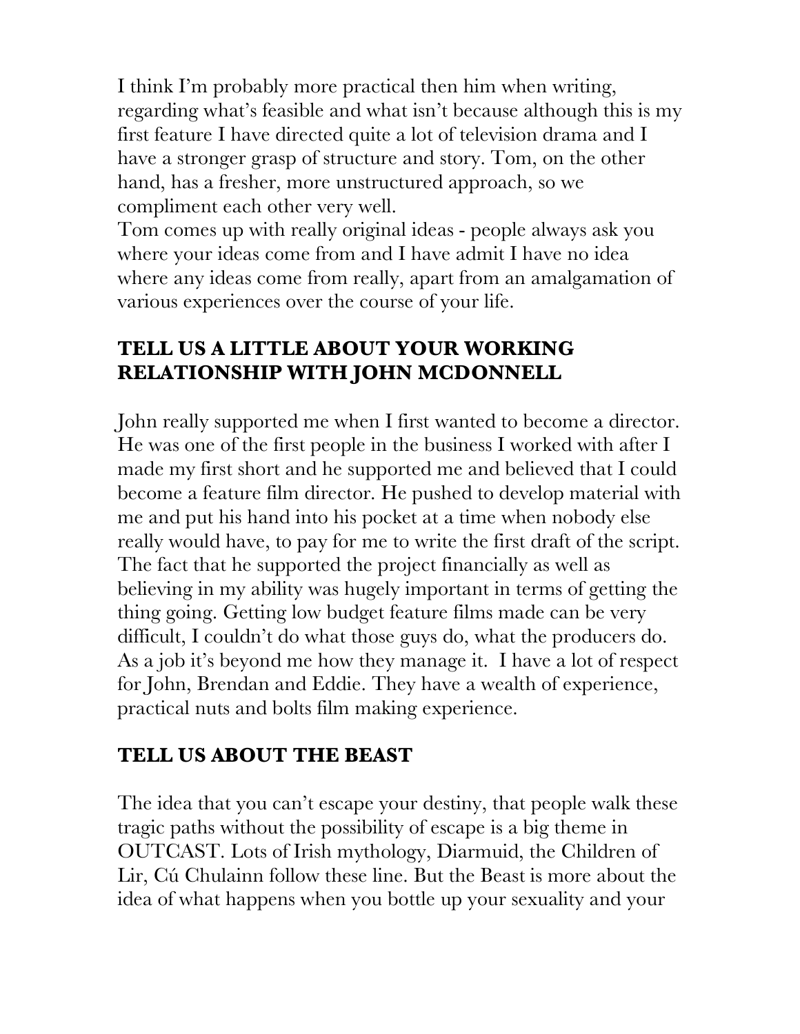I think I'm probably more practical then him when writing, regarding what's feasible and what isn't because although this is my first feature I have directed quite a lot of television drama and I have a stronger grasp of structure and story. Tom, on the other hand, has a fresher, more unstructured approach, so we compliment each other very well.

Tom comes up with really original ideas - people always ask you where your ideas come from and I have admit I have no idea where any ideas come from really, apart from an amalgamation of various experiences over the course of your life.

#### **TELL US A LITTLE ABOUT YOUR WORKING RELATIONSHIP WITH JOHN MCDONNELL**

John really supported me when I first wanted to become a director. He was one of the first people in the business I worked with after I made my first short and he supported me and believed that I could become a feature film director. He pushed to develop material with me and put his hand into his pocket at a time when nobody else really would have, to pay for me to write the first draft of the script. The fact that he supported the project financially as well as believing in my ability was hugely important in terms of getting the thing going. Getting low budget feature films made can be very difficult, I couldn't do what those guys do, what the producers do. As a job it's beyond me how they manage it. I have a lot of respect for John, Brendan and Eddie. They have a wealth of experience, practical nuts and bolts film making experience.

#### **TELL US ABOUT THE BEAST**

The idea that you can't escape your destiny, that people walk these tragic paths without the possibility of escape is a big theme in OUTCAST. Lots of Irish mythology, Diarmuid, the Children of Lir, Cú Chulainn follow these line. But the Beast is more about the idea of what happens when you bottle up your sexuality and your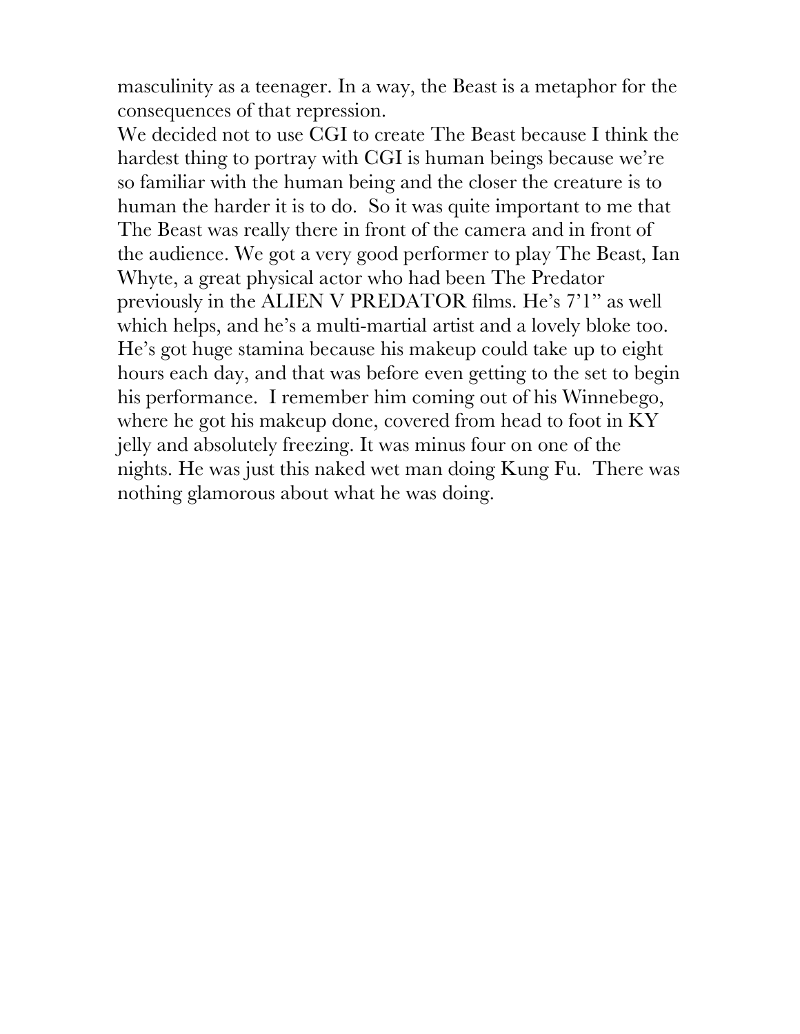masculinity as a teenager. In a way, the Beast is a metaphor for the consequences of that repression.

We decided not to use CGI to create The Beast because I think the hardest thing to portray with CGI is human beings because we're so familiar with the human being and the closer the creature is to human the harder it is to do. So it was quite important to me that The Beast was really there in front of the camera and in front of the audience. We got a very good performer to play The Beast, Ian Whyte, a great physical actor who had been The Predator previously in the ALIEN V PREDATOR films. He's 7'1" as well which helps, and he's a multi-martial artist and a lovely bloke too. He's got huge stamina because his makeup could take up to eight hours each day, and that was before even getting to the set to begin his performance. I remember him coming out of his Winnebego, where he got his makeup done, covered from head to foot in KY jelly and absolutely freezing. It was minus four on one of the nights. He was just this naked wet man doing Kung Fu. There was nothing glamorous about what he was doing.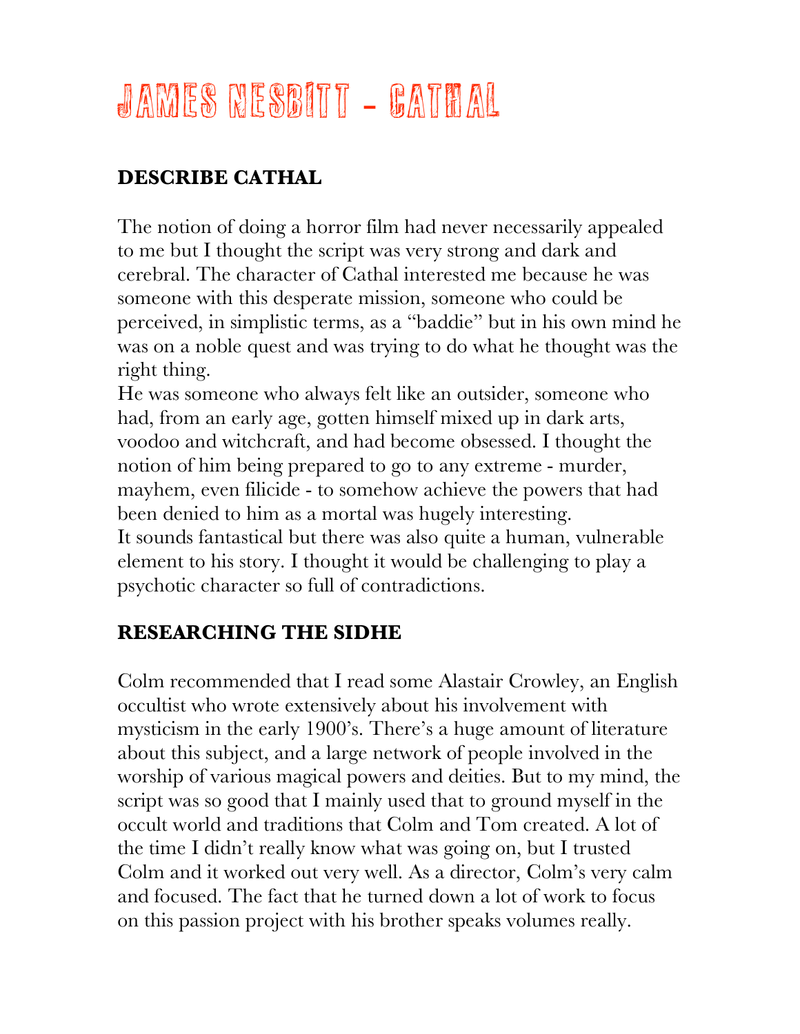### JAMES NESBITT - CATHAL

#### **DESCRIBE CATHAL**

The notion of doing a horror film had never necessarily appealed to me but I thought the script was very strong and dark and cerebral. The character of Cathal interested me because he was someone with this desperate mission, someone who could be perceived, in simplistic terms, as a "baddie" but in his own mind he was on a noble quest and was trying to do what he thought was the right thing.

He was someone who always felt like an outsider, someone who had, from an early age, gotten himself mixed up in dark arts, voodoo and witchcraft, and had become obsessed. I thought the notion of him being prepared to go to any extreme - murder, mayhem, even filicide - to somehow achieve the powers that had been denied to him as a mortal was hugely interesting. It sounds fantastical but there was also quite a human, vulnerable element to his story. I thought it would be challenging to play a psychotic character so full of contradictions.

#### **RESEARCHING THE SIDHE**

Colm recommended that I read some Alastair Crowley, an English occultist who wrote extensively about his involvement with mysticism in the early 1900's. There's a huge amount of literature about this subject, and a large network of people involved in the worship of various magical powers and deities. But to my mind, the script was so good that I mainly used that to ground myself in the occult world and traditions that Colm and Tom created. A lot of the time I didn't really know what was going on, but I trusted Colm and it worked out very well. As a director, Colm's very calm and focused. The fact that he turned down a lot of work to focus on this passion project with his brother speaks volumes really.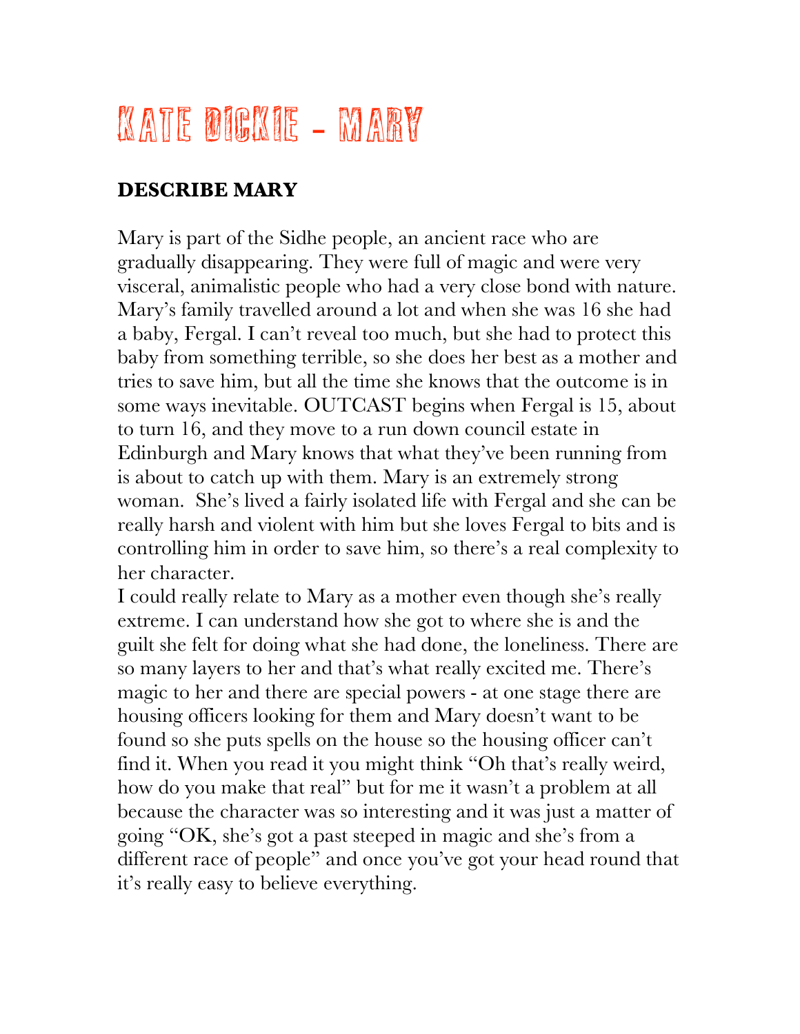### KATE DICKIE - MARY

#### **DESCRIBE MARY**

Mary is part of the Sidhe people, an ancient race who are gradually disappearing. They were full of magic and were very visceral, animalistic people who had a very close bond with nature. Mary's family travelled around a lot and when she was 16 she had a baby, Fergal. I can't reveal too much, but she had to protect this baby from something terrible, so she does her best as a mother and tries to save him, but all the time she knows that the outcome is in some ways inevitable. OUTCAST begins when Fergal is 15, about to turn 16, and they move to a run down council estate in Edinburgh and Mary knows that what they've been running from is about to catch up with them. Mary is an extremely strong woman. She's lived a fairly isolated life with Fergal and she can be really harsh and violent with him but she loves Fergal to bits and is controlling him in order to save him, so there's a real complexity to her character.

I could really relate to Mary as a mother even though she's really extreme. I can understand how she got to where she is and the guilt she felt for doing what she had done, the loneliness. There are so many layers to her and that's what really excited me. There's magic to her and there are special powers - at one stage there are housing officers looking for them and Mary doesn't want to be found so she puts spells on the house so the housing officer can't find it. When you read it you might think "Oh that's really weird, how do you make that real" but for me it wasn't a problem at all because the character was so interesting and it was just a matter of going "OK, she's got a past steeped in magic and she's from a different race of people" and once you've got your head round that it's really easy to believe everything.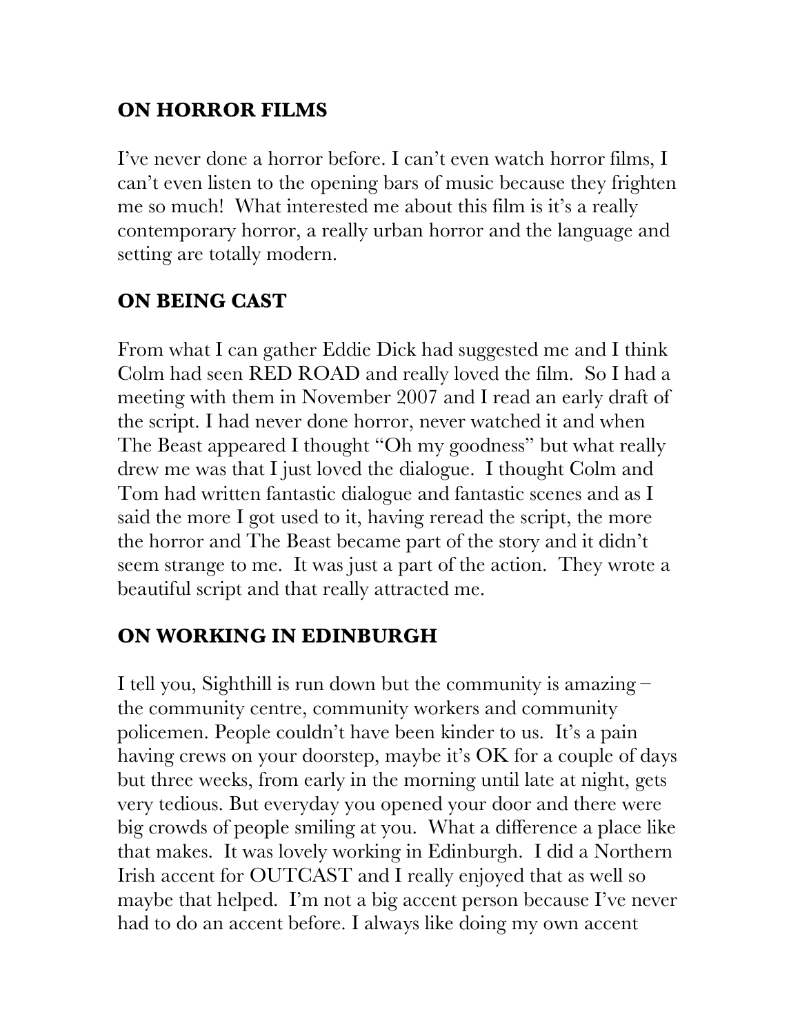#### **ON HORROR FILMS**

I've never done a horror before. I can't even watch horror films, I can't even listen to the opening bars of music because they frighten me so much! What interested me about this film is it's a really contemporary horror, a really urban horror and the language and setting are totally modern.

#### **ON BEING CAST**

From what I can gather Eddie Dick had suggested me and I think Colm had seen RED ROAD and really loved the film. So I had a meeting with them in November 2007 and I read an early draft of the script. I had never done horror, never watched it and when The Beast appeared I thought "Oh my goodness" but what really drew me was that I just loved the dialogue. I thought Colm and Tom had written fantastic dialogue and fantastic scenes and as I said the more I got used to it, having reread the script, the more the horror and The Beast became part of the story and it didn't seem strange to me. It was just a part of the action. They wrote a beautiful script and that really attracted me.

#### **ON WORKING IN EDINBURGH**

I tell you, Sighthill is run down but the community is amazing – the community centre, community workers and community policemen. People couldn't have been kinder to us. It's a pain having crews on your doorstep, maybe it's OK for a couple of days but three weeks, from early in the morning until late at night, gets very tedious. But everyday you opened your door and there were big crowds of people smiling at you. What a difference a place like that makes. It was lovely working in Edinburgh. I did a Northern Irish accent for OUTCAST and I really enjoyed that as well so maybe that helped. I'm not a big accent person because I've never had to do an accent before. I always like doing my own accent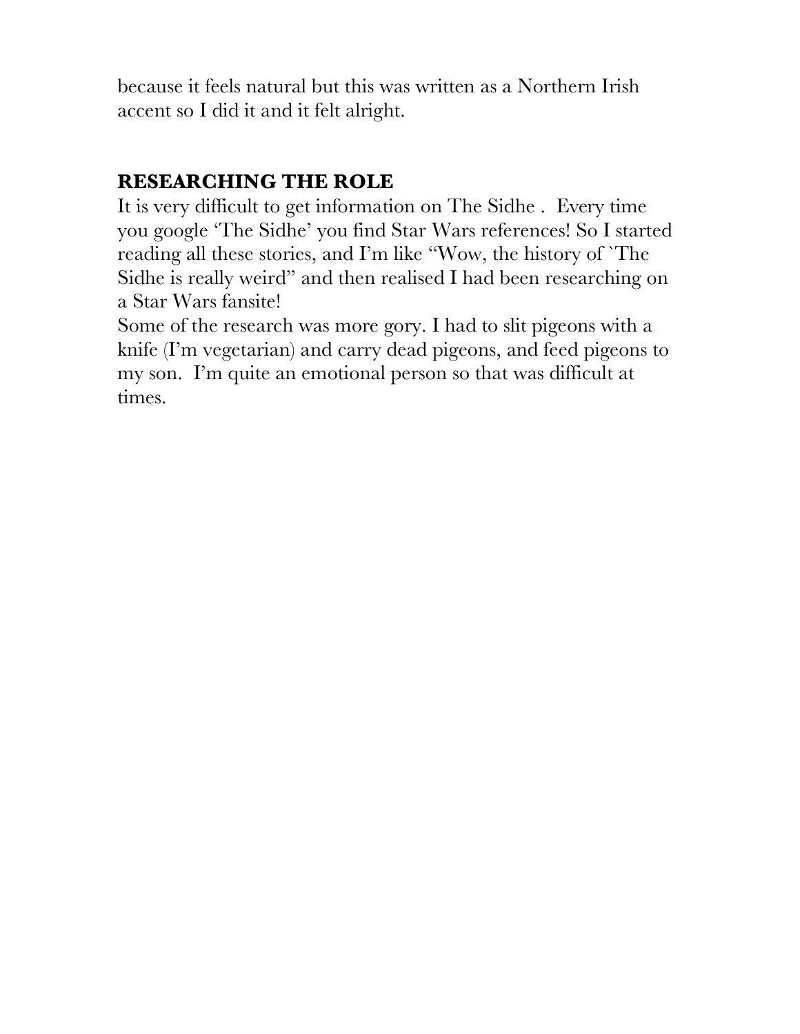because it feels natural but this was written as a Northern Irish accent so I did it and it felt alright.

#### **RESEARCHING THE ROLE**

It is very difficult to get information on The Sidhe . Every time you google 'The Sidhe' you find Star Wars references! So I started reading all these stories, and I'm like "Wow, the history of `The Sidhe is really weird" and then realised I had been researching on a Star Wars fansite!

Some of the research was more gory. I had to slit pigeons with a knife (I'm vegetarian) and carry dead pigeons, and feed pigeons to my son. I'm quite an emotional person so that was difficult at times.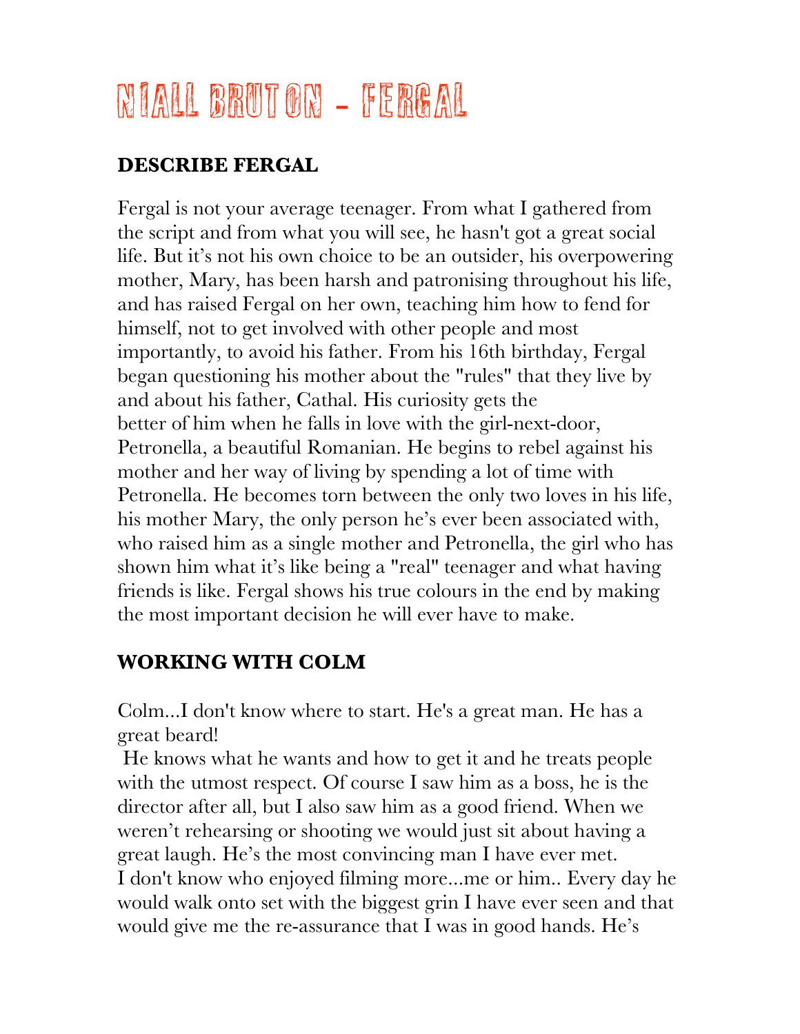### NIALL BRUTON - FERGAL

#### **DESCRIBE FERGAL**

Fergal is not your average teenager. From what I gathered from the script and from what you will see, he hasn't got a great social life. But it's not his own choice to be an outsider, his overpowering mother, Mary, has been harsh and patronising throughout his life, and has raised Fergal on her own, teaching him how to fend for himself, not to get involved with other people and most importantly, to avoid his father. From his 16th birthday, Fergal began questioning his mother about the "rules" that they live by and about his father, Cathal. His curiosity gets the better of him when he falls in love with the girl-next-door, Petronella, a beautiful Romanian. He begins to rebel against his mother and her way of living by spending a lot of time with Petronella. He becomes torn between the only two loves in his life, his mother Mary, the only person he's ever been associated with, who raised him as a single mother and Petronella, the girl who has shown him what it's like being a "real" teenager and what having friends is like. Fergal shows his true colours in the end by making the most important decision he will ever have to make.

#### **WORKING WITH COLM**

Colm...I don't know where to start. He's a great man. He has a great beard!

 He knows what he wants and how to get it and he treats people with the utmost respect. Of course I saw him as a boss, he is the director after all, but I also saw him as a good friend. When we weren't rehearsing or shooting we would just sit about having a great laugh. He's the most convincing man I have ever met. I don't know who enjoyed filming more...me or him.. Every day he would walk onto set with the biggest grin I have ever seen and that would give me the re-assurance that I was in good hands. He's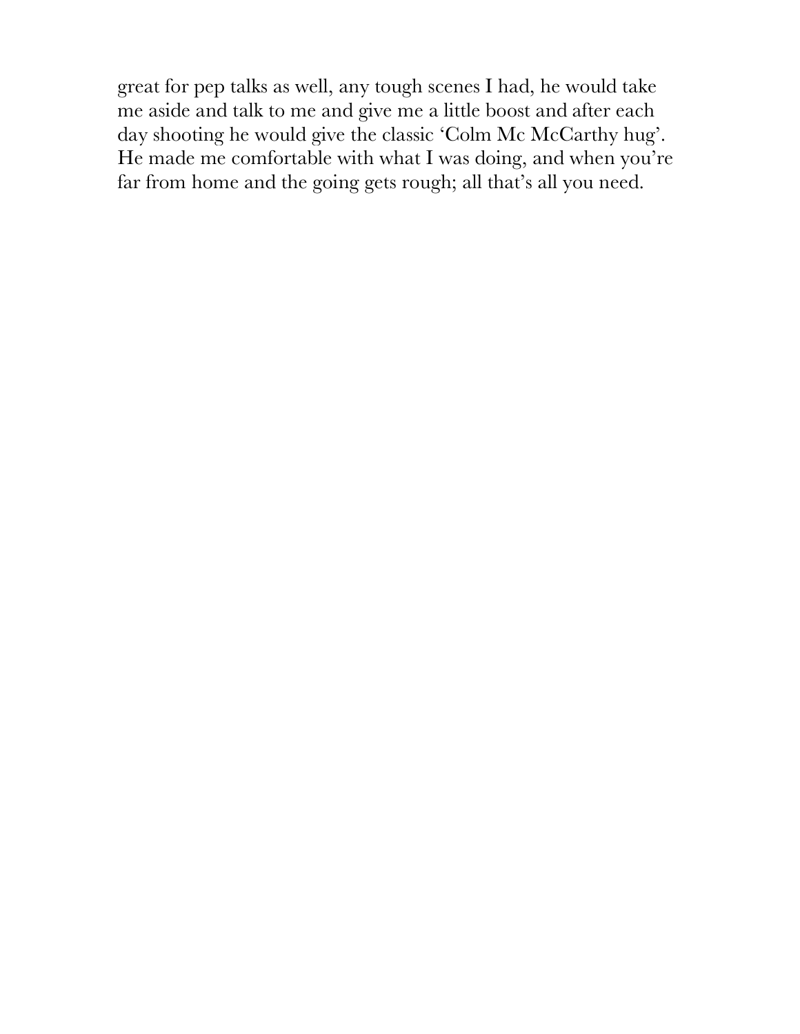great for pep talks as well, any tough scenes I had, he would take me aside and talk to me and give me a little boost and after each day shooting he would give the classic 'Colm Mc McCarthy hug'. He made me comfortable with what I was doing, and when you're far from home and the going gets rough; all that's all you need.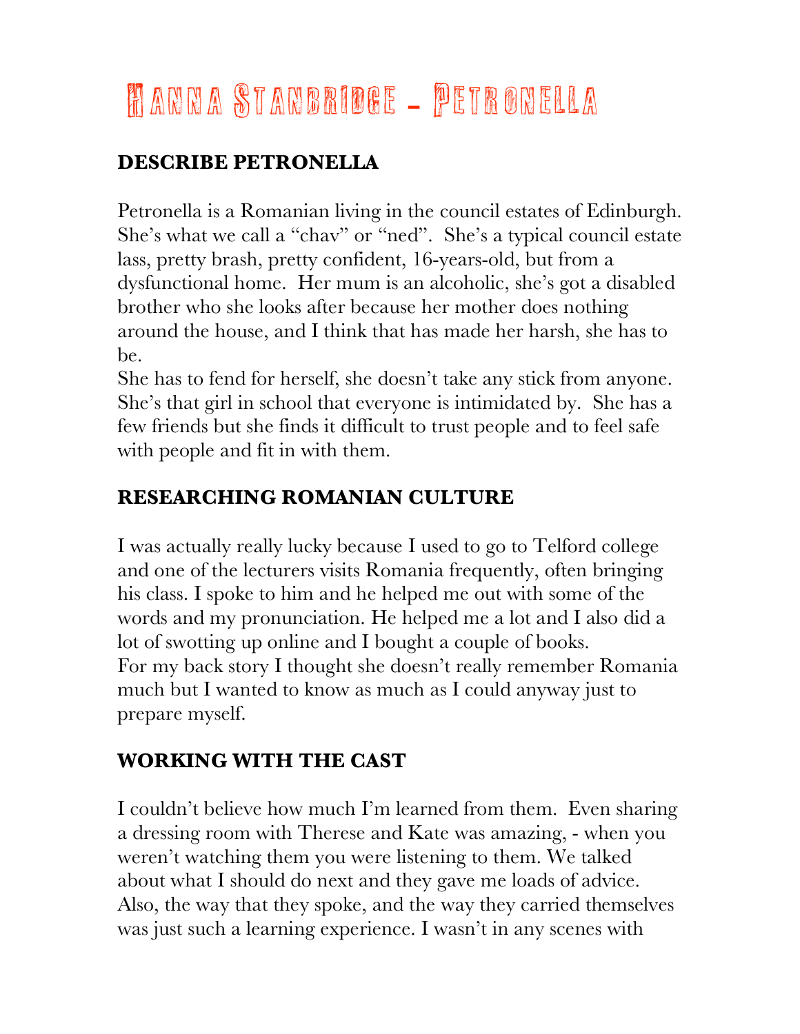### Hanna Stanbridge - Petronella)

### **DESCRIBE PETRONELLA**

Petronella is a Romanian living in the council estates of Edinburgh. She's what we call a "chav" or "ned". She's a typical council estate lass, pretty brash, pretty confident, 16-years-old, but from a dysfunctional home. Her mum is an alcoholic, she's got a disabled brother who she looks after because her mother does nothing around the house, and I think that has made her harsh, she has to be.

She has to fend for herself, she doesn't take any stick from anyone. She's that girl in school that everyone is intimidated by. She has a few friends but she finds it difficult to trust people and to feel safe with people and fit in with them.

#### **RESEARCHING ROMANIAN CULTURE**

I was actually really lucky because I used to go to Telford college and one of the lecturers visits Romania frequently, often bringing his class. I spoke to him and he helped me out with some of the words and my pronunciation. He helped me a lot and I also did a lot of swotting up online and I bought a couple of books. For my back story I thought she doesn't really remember Romania much but I wanted to know as much as I could anyway just to prepare myself.

#### **WORKING WITH THE CAST**

I couldn't believe how much I'm learned from them. Even sharing a dressing room with Therese and Kate was amazing, - when you weren't watching them you were listening to them. We talked about what I should do next and they gave me loads of advice. Also, the way that they spoke, and the way they carried themselves was just such a learning experience. I wasn't in any scenes with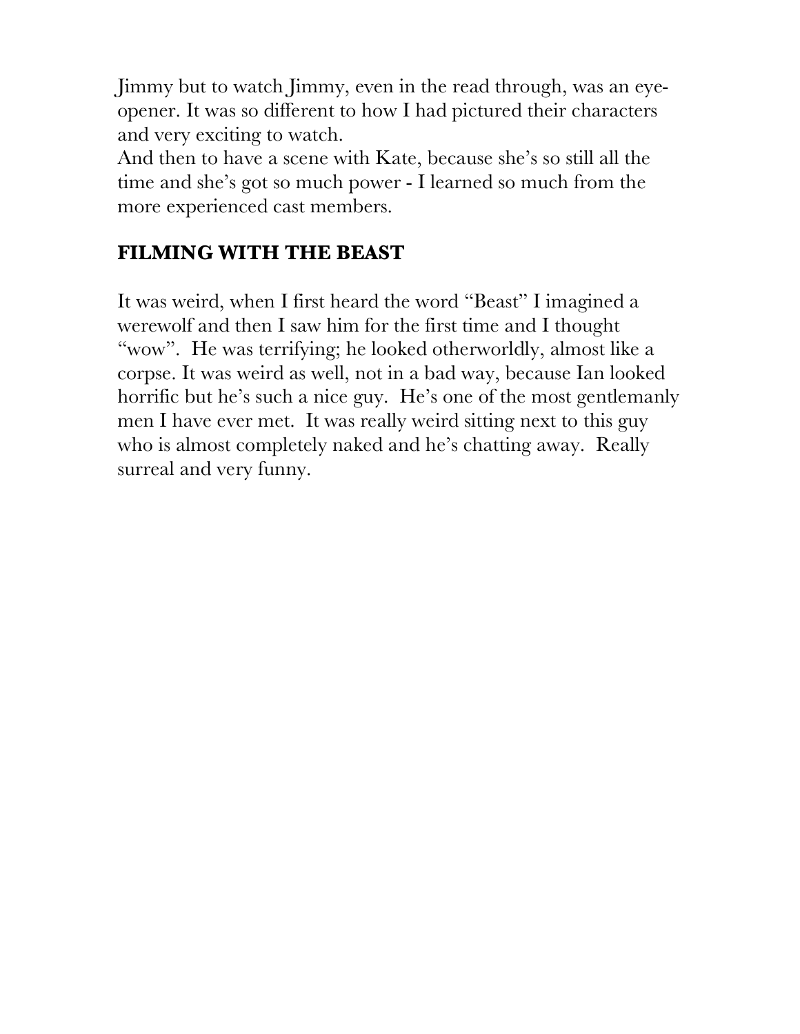Jimmy but to watch Jimmy, even in the read through, was an eyeopener. It was so different to how I had pictured their characters and very exciting to watch.

And then to have a scene with Kate, because she's so still all the time and she's got so much power - I learned so much from the more experienced cast members.

#### **FILMING WITH THE BEAST**

It was weird, when I first heard the word "Beast" I imagined a werewolf and then I saw him for the first time and I thought "wow". He was terrifying; he looked otherworldly, almost like a corpse. It was weird as well, not in a bad way, because Ian looked horrific but he's such a nice guy. He's one of the most gentlemanly men I have ever met. It was really weird sitting next to this guy who is almost completely naked and he's chatting away. Really surreal and very funny.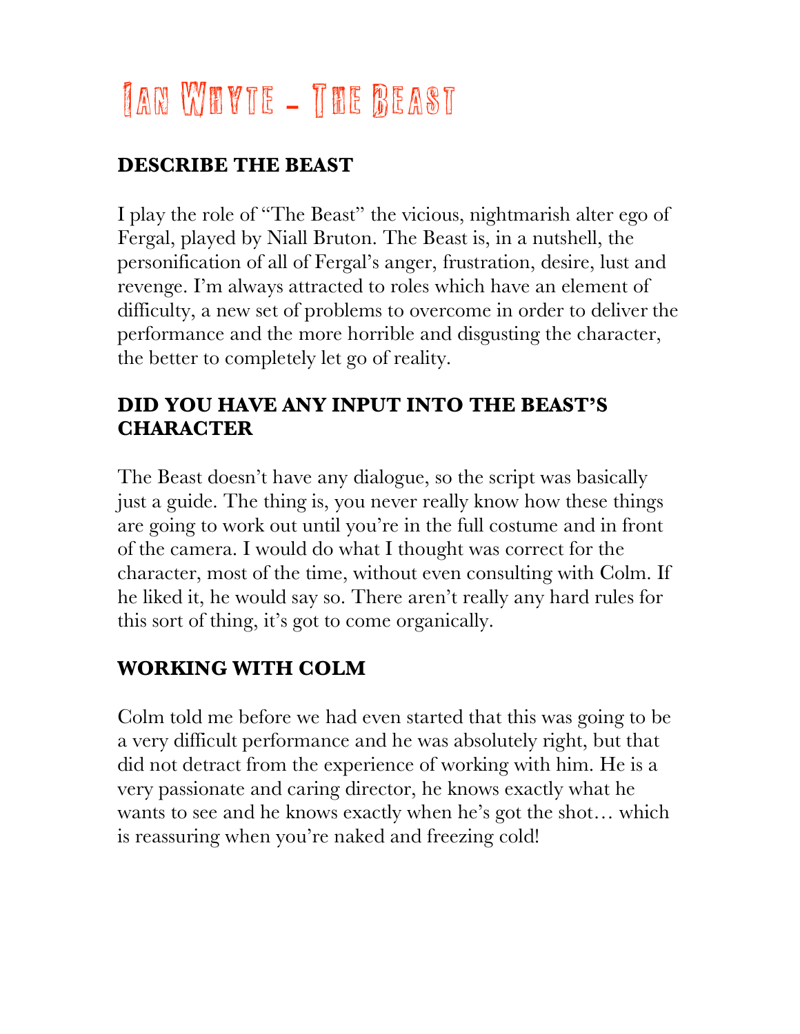### Ian Whyte - The Beast

#### **DESCRIBE THE BEAST**

I play the role of "The Beast" the vicious, nightmarish alter ego of Fergal, played by Niall Bruton. The Beast is, in a nutshell, the personification of all of Fergal's anger, frustration, desire, lust and revenge. I'm always attracted to roles which have an element of difficulty, a new set of problems to overcome in order to deliver the performance and the more horrible and disgusting the character, the better to completely let go of reality.

#### **DID YOU HAVE ANY INPUT INTO THE BEAST'S CHARACTER**

The Beast doesn't have any dialogue, so the script was basically just a guide. The thing is, you never really know how these things are going to work out until you're in the full costume and in front of the camera. I would do what I thought was correct for the character, most of the time, without even consulting with Colm. If he liked it, he would say so. There aren't really any hard rules for this sort of thing, it's got to come organically.

#### **WORKING WITH COLM**

Colm told me before we had even started that this was going to be a very difficult performance and he was absolutely right, but that did not detract from the experience of working with him. He is a very passionate and caring director, he knows exactly what he wants to see and he knows exactly when he's got the shot… which is reassuring when you're naked and freezing cold!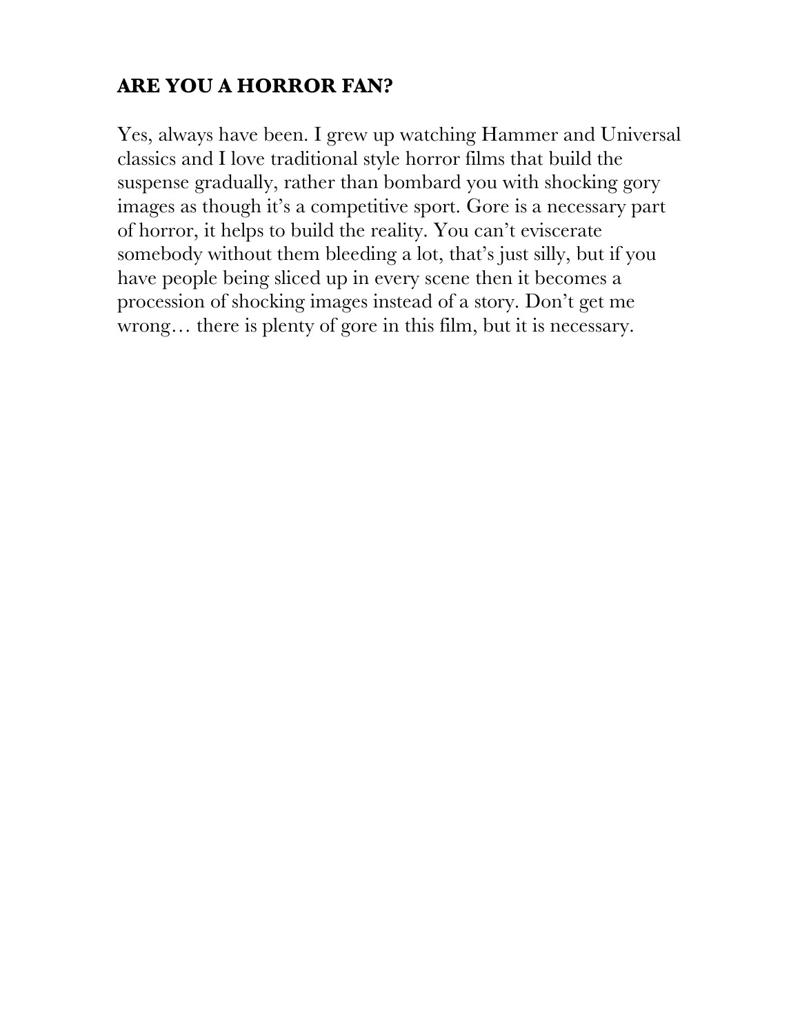#### **ARE YOU A HORROR FAN?**

Yes, always have been. I grew up watching Hammer and Universal classics and I love traditional style horror films that build the suspense gradually, rather than bombard you with shocking gory images as though it's a competitive sport. Gore is a necessary part of horror, it helps to build the reality. You can't eviscerate somebody without them bleeding a lot, that's just silly, but if you have people being sliced up in every scene then it becomes a procession of shocking images instead of a story. Don't get me wrong… there is plenty of gore in this film, but it is necessary.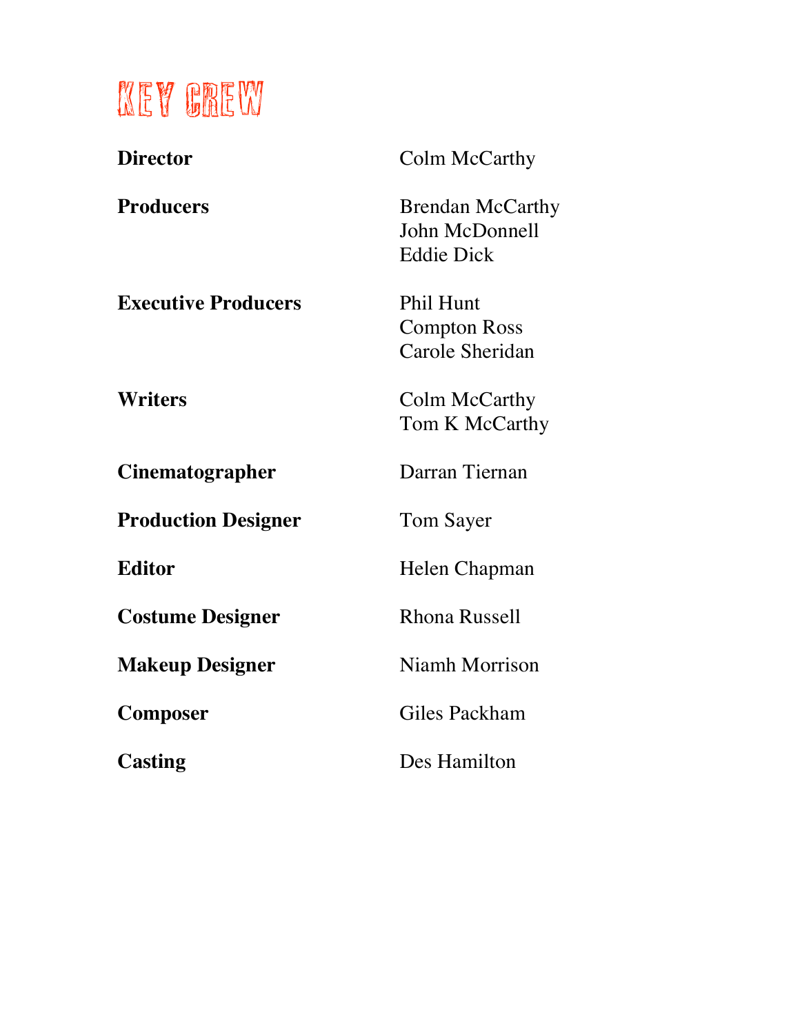### KEY CREW

| Colm McCarthy                                                  |
|----------------------------------------------------------------|
| <b>Brendan McCarthy</b><br>John McDonnell<br><b>Eddie Dick</b> |
| <b>Phil Hunt</b><br><b>Compton Ross</b><br>Carole Sheridan     |
| Colm McCarthy<br>Tom K McCarthy                                |
| Darran Tiernan                                                 |
| <b>Tom Sayer</b>                                               |
| Helen Chapman                                                  |
| Rhona Russell                                                  |
| Niamh Morrison                                                 |
| Giles Packham                                                  |
| Des Hamilton                                                   |
|                                                                |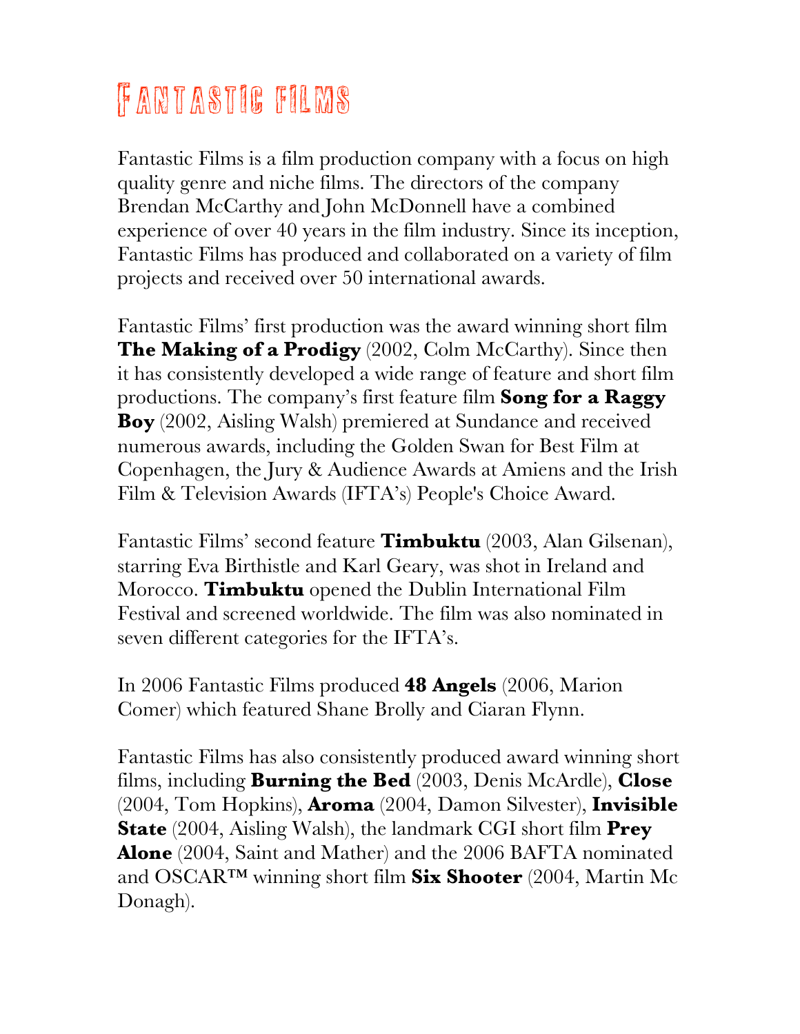### Fantastic films

Fantastic Films is a film production company with a focus on high quality genre and niche films. The directors of the company Brendan McCarthy and John McDonnell have a combined experience of over 40 years in the film industry. Since its inception, Fantastic Films has produced and collaborated on a variety of film projects and received over 50 international awards.

Fantastic Films' first production was the award winning short film **The Making of a Prodigy** (2002, Colm McCarthy). Since then it has consistently developed a wide range of feature and short film productions. The company's first feature film **Song for a Raggy Boy** (2002, Aisling Walsh) premiered at Sundance and received numerous awards, including the Golden Swan for Best Film at Copenhagen, the Jury & Audience Awards at Amiens and the Irish Film & Television Awards (IFTA's) People's Choice Award.

Fantastic Films' second feature **Timbuktu** (2003, Alan Gilsenan), starring Eva Birthistle and Karl Geary, was shot in Ireland and Morocco. **Timbuktu** opened the Dublin International Film Festival and screened worldwide. The film was also nominated in seven different categories for the IFTA's.

In 2006 Fantastic Films produced **48 Angels** (2006, Marion Comer) which featured Shane Brolly and Ciaran Flynn.

Fantastic Films has also consistently produced award winning short films, including **Burning the Bed** (2003, Denis McArdle), **Close** (2004, Tom Hopkins), **Aroma** (2004, Damon Silvester), **Invisible State** (2004, Aisling Walsh), the landmark CGI short film **Prey Alone** (2004, Saint and Mather) and the 2006 BAFTA nominated and OSCAR™ winning short film **Six Shooter** (2004, Martin Mc Donagh).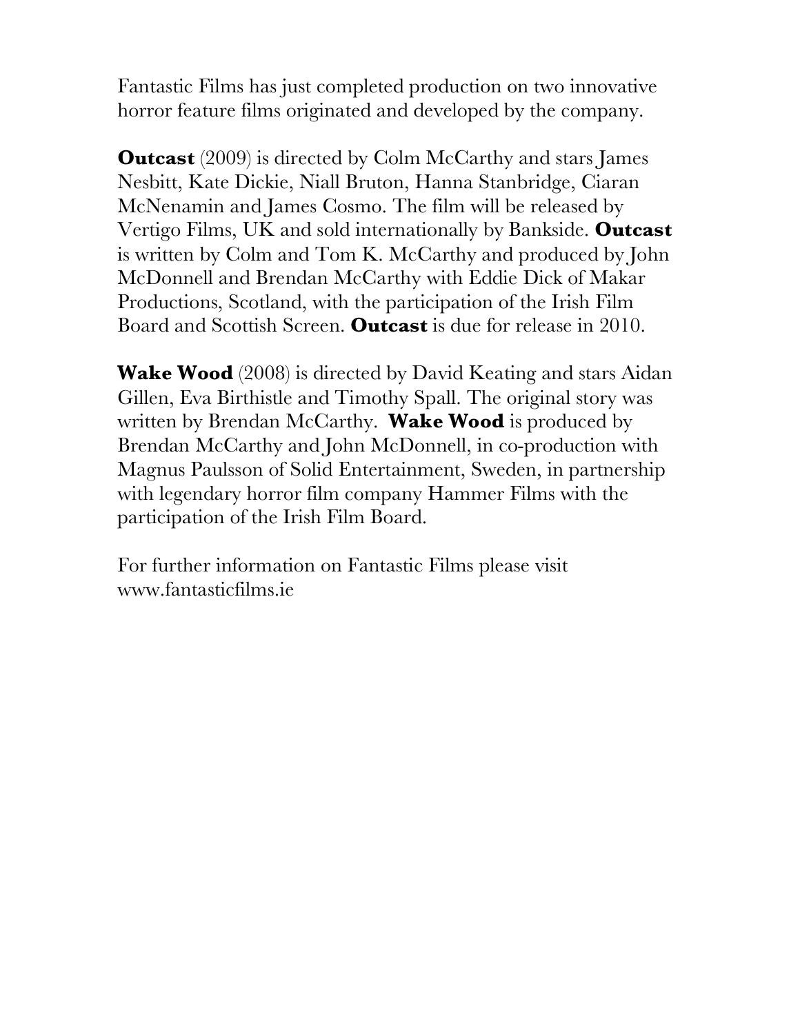Fantastic Films has just completed production on two innovative horror feature films originated and developed by the company.

**Outcast** (2009) is directed by Colm McCarthy and stars James Nesbitt, Kate Dickie, Niall Bruton, Hanna Stanbridge, Ciaran McNenamin and James Cosmo. The film will be released by Vertigo Films, UK and sold internationally by Bankside. **Outcast** is written by Colm and Tom K. McCarthy and produced by John McDonnell and Brendan McCarthy with Eddie Dick of Makar Productions, Scotland, with the participation of the Irish Film Board and Scottish Screen. **Outcast** is due for release in 2010.

**Wake Wood** (2008) is directed by David Keating and stars Aidan Gillen, Eva Birthistle and Timothy Spall. The original story was written by Brendan McCarthy. **Wake Wood** is produced by Brendan McCarthy and John McDonnell, in co-production with Magnus Paulsson of Solid Entertainment, Sweden, in partnership with legendary horror film company Hammer Films with the participation of the Irish Film Board.

For further information on Fantastic Films please visit www.fantasticfilms.ie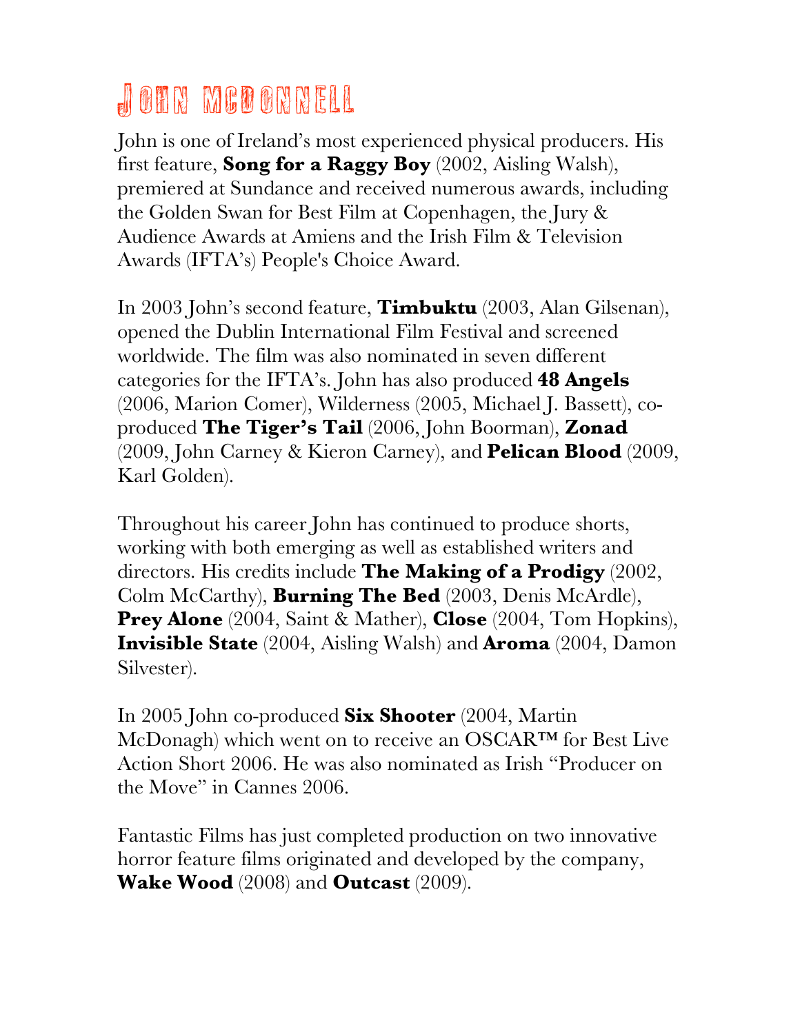### John mcdonnell

John is one of Ireland's most experienced physical producers. His first feature, **Song for a Raggy Boy** (2002, Aisling Walsh), premiered at Sundance and received numerous awards, including the Golden Swan for Best Film at Copenhagen, the Jury & Audience Awards at Amiens and the Irish Film & Television Awards (IFTA's) People's Choice Award.

In 2003 John's second feature, **Timbuktu** (2003, Alan Gilsenan), opened the Dublin International Film Festival and screened worldwide. The film was also nominated in seven different categories for the IFTA's. John has also produced **48 Angels** (2006, Marion Comer), Wilderness (2005, Michael J. Bassett), coproduced **The Tiger's Tail** (2006, John Boorman), **Zonad** (2009, John Carney & Kieron Carney), and **Pelican Blood** (2009, Karl Golden).

Throughout his career John has continued to produce shorts, working with both emerging as well as established writers and directors. His credits include **The Making of a Prodigy** (2002, Colm McCarthy), **Burning The Bed** (2003, Denis McArdle), **Prey Alone** (2004, Saint & Mather), **Close** (2004, Tom Hopkins), **Invisible State** (2004, Aisling Walsh) and **Aroma** (2004, Damon Silvester).

In 2005 John co-produced **Six Shooter** (2004, Martin McDonagh) which went on to receive an OSCAR™ for Best Live Action Short 2006. He was also nominated as Irish "Producer on the Move" in Cannes 2006.

Fantastic Films has just completed production on two innovative horror feature films originated and developed by the company, **Wake Wood** (2008) and **Outcast** (2009).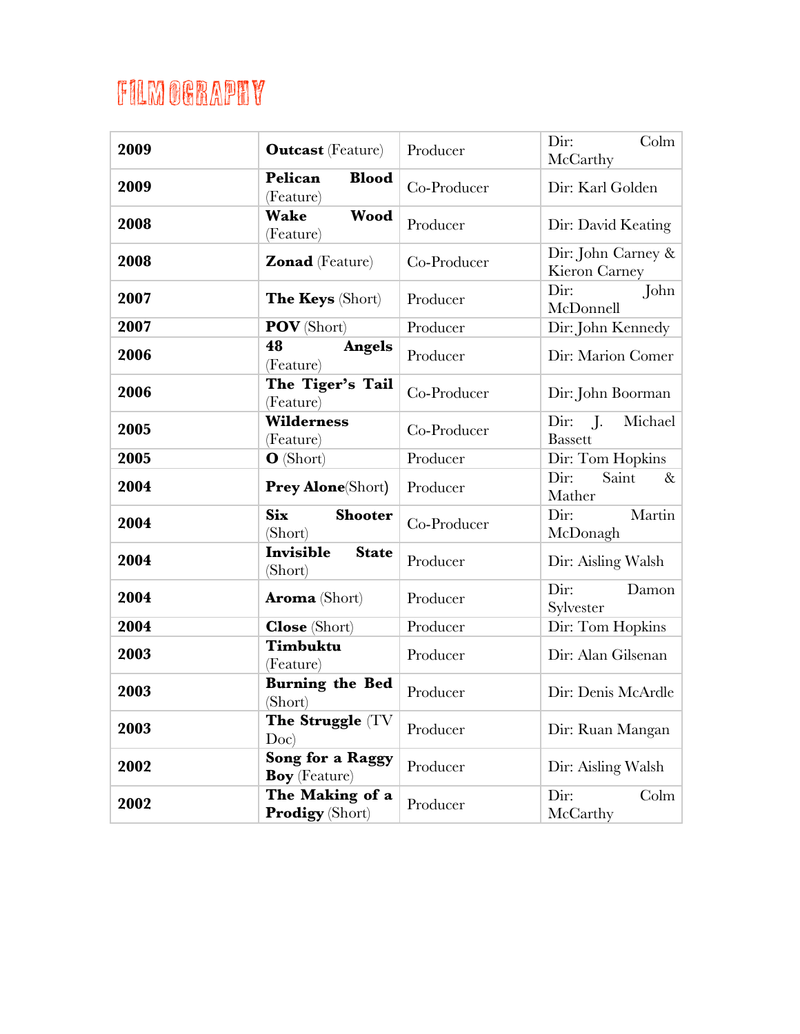### FILMOGRAPHY

| 2009 | <b>Outcast</b> (Feature)                  | Producer    | Colm<br>Dir:<br>McCarthy                       |
|------|-------------------------------------------|-------------|------------------------------------------------|
| 2009 | Pelican<br><b>Blood</b><br>(Feature)      | Co-Producer | Dir: Karl Golden                               |
| 2008 | Wake<br>Wood<br>(Feature)                 | Producer    | Dir: David Keating                             |
| 2008 | <b>Zonad</b> (Feature)                    | Co-Producer | Dir: John Carney &<br><b>Kieron Carney</b>     |
| 2007 | <b>The Keys</b> (Short)                   | Producer    | Dir:<br>John<br>McDonnell                      |
| 2007 | <b>POV</b> (Short)                        | Producer    | Dir: John Kennedy                              |
| 2006 | <b>Angels</b><br>48<br>(Feature)          | Producer    | Dir: Marion Comer                              |
| 2006 | The Tiger's Tail<br>(Feature)             | Co-Producer | Dir: John Boorman                              |
| 2005 | <b>Wilderness</b><br>(Feature)            | Co-Producer | Michael<br>Dir:<br>$\cdot$ .<br><b>Bassett</b> |
| 2005 | O (Short)                                 | Producer    | Dir: Tom Hopkins                               |
| 2004 | <b>Prey Alone</b> (Short)                 | Producer    | Saint<br>Dir:<br>$\&$<br>Mather                |
| 2004 | <b>Six</b><br><b>Shooter</b><br>(Short)   | Co-Producer | Martin<br>Dir:<br>McDonagh                     |
| 2004 | Invisible<br><b>State</b><br>(Short)      | Producer    | Dir: Aisling Walsh                             |
| 2004 | <b>Aroma</b> (Short)                      | Producer    | Dir:<br>Damon<br>Sylvester                     |
| 2004 | <b>Close</b> (Short)                      | Producer    | Dir: Tom Hopkins                               |
| 2003 | Timbuktu<br>(Feature)                     | Producer    | Dir: Alan Gilsenan                             |
| 2003 | <b>Burning the Bed</b><br>(Short)         | Producer    | Dir: Denis McArdle                             |
| 2003 | The Struggle (TV<br>Doc)                  | Producer    | Dir: Ruan Mangan                               |
| 2002 | Song for a Raggy<br><b>Boy</b> (Feature)  | Producer    | Dir: Aisling Walsh                             |
| 2002 | The Making of a<br><b>Prodigy</b> (Short) | Producer    | Colm<br>Dir:<br>McCarthy                       |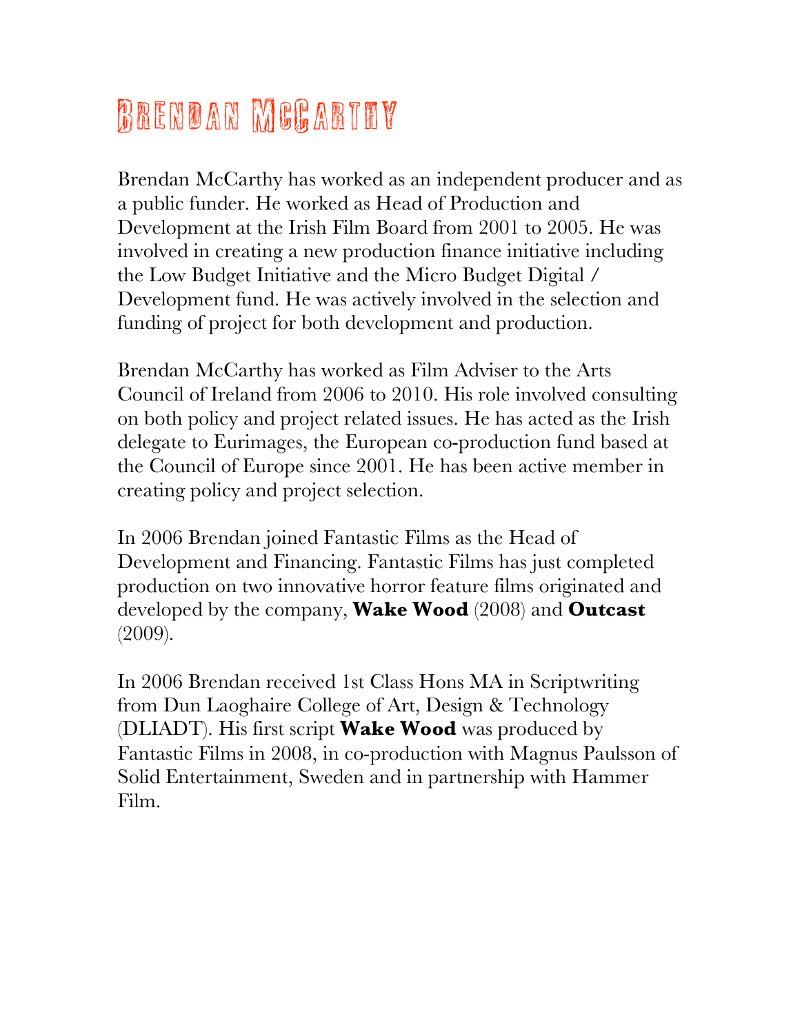### BRENDAN MCGARTHY

Brendan McCarthy has worked as an independent producer and as a public funder. He worked as Head of Production and Development at the Irish Film Board from 2001 to 2005. He was involved in creating a new production finance initiative including the Low Budget Initiative and the Micro Budget Digital / Development fund. He was actively involved in the selection and funding of project for both development and production.

Brendan McCarthy has worked as Film Adviser to the Arts Council of Ireland from 2006 to 2010. His role involved consulting on both policy and project related issues. He has acted as the Irish delegate to Eurimages, the European co-production fund based at the Council of Europe since 2001. He has been active member in creating policy and project selection.

In 2006 Brendan joined Fantastic Films as the Head of Development and Financing. Fantastic Films has just completed production on two innovative horror feature films originated and developed by the company, **Wake Wood** (2008) and **Outcast**  (2009).

In 2006 Brendan received 1st Class Hons MA in Scriptwriting from Dun Laoghaire College of Art, Design & Technology (DLIADT). His first script **Wake Wood** was produced by Fantastic Films in 2008, in co-production with Magnus Paulsson of Solid Entertainment, Sweden and in partnership with Hammer Film.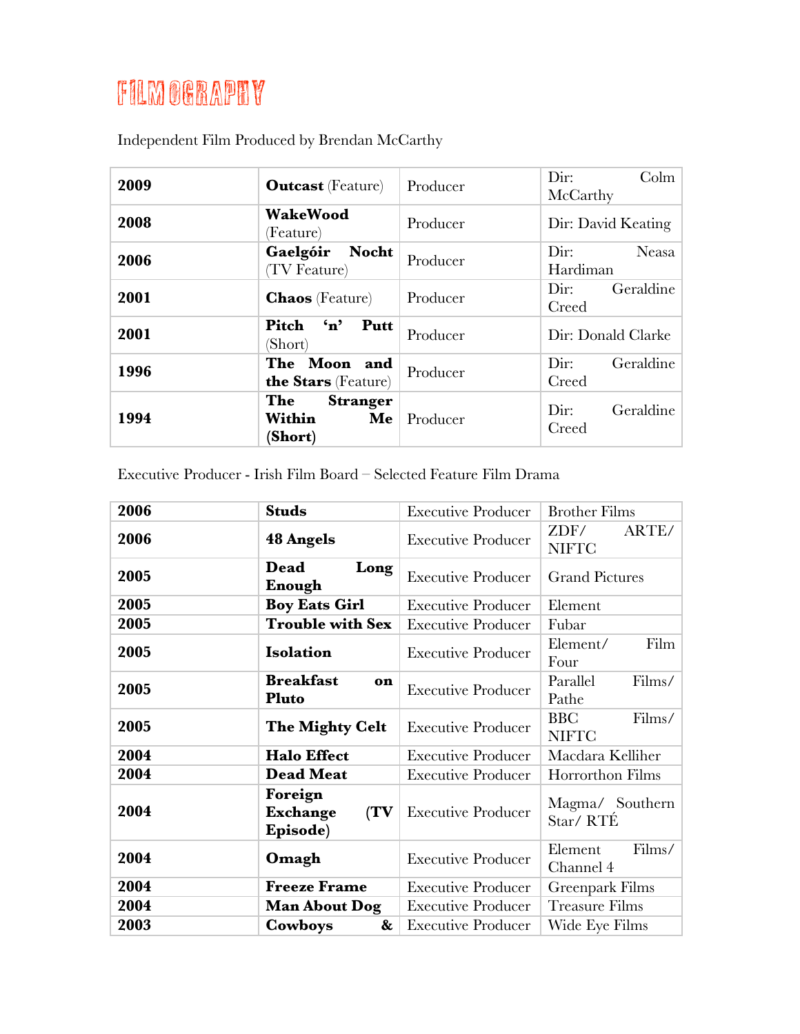### FILMOGRAPHY

| 2009 | <b>Outcast</b> (Feature)                          | Producer | Dir:<br>Colm<br>McCarthy         |
|------|---------------------------------------------------|----------|----------------------------------|
| 2008 | WakeWood<br>(Feature)                             | Producer | Dir: David Keating               |
| 2006 | Gaelgóir Nocht<br>TV Feature)                     | Producer | Dir:<br><b>Neasa</b><br>Hardiman |
| 2001 | <b>Chaos</b> (Feature)                            | Producer | Geraldine<br>Dir:<br>Creed       |
| 2001 | $\mathbf{m}$<br>Putt<br>Pitch<br>(Short)          | Producer | Dir: Donald Clarke               |
| 1996 | The Moon and<br><b>the Stars</b> (Feature)        | Producer | Geraldine<br>Dir:<br>Creed       |
| 1994 | The<br><b>Stranger</b><br>Within<br>Me<br>(Short) | Producer | Dir:<br>Geraldine<br>Creed       |

Independent Film Produced by Brendan McCarthy

Executive Producer - Irish Film Board – Selected Feature Film Drama

| 2006 | <b>Studs</b>                            | <b>Executive Producer</b> | <b>Brother Films</b>                 |
|------|-----------------------------------------|---------------------------|--------------------------------------|
| 2006 | <b>48 Angels</b>                        | <b>Executive Producer</b> | ZDF/<br>ARTE/<br><b>NIFTC</b>        |
| 2005 | Dead<br>Long<br>Enough                  | <b>Executive Producer</b> | <b>Grand Pictures</b>                |
| 2005 | <b>Boy Eats Girl</b>                    | <b>Executive Producer</b> | Element                              |
| 2005 | <b>Trouble with Sex</b>                 | <b>Executive Producer</b> | Fubar                                |
| 2005 | Isolation                               | <b>Executive Producer</b> | Element/<br>Film<br>Four             |
| 2005 | <b>Breakfast</b><br>on<br><b>Pluto</b>  | <b>Executive Producer</b> | Parallel<br>Films/<br>Pathe          |
| 2005 | The Mighty Celt                         | <b>Executive Producer</b> | <b>BBC</b><br>Films/<br><b>NIFTC</b> |
| 2004 | <b>Halo Effect</b>                      | <b>Executive Producer</b> | Macdara Kelliher                     |
| 2004 | <b>Dead Meat</b>                        | <b>Executive Producer</b> | Horrorthon Films                     |
| 2004 | Foreign<br>(TV)<br>Exchange<br>Episode) | <b>Executive Producer</b> | Magma/ Southern<br>Star/RTÉ          |
| 2004 | Omagh                                   | <b>Executive Producer</b> | Films/<br>Element<br>Channel 4       |
| 2004 | <b>Freeze Frame</b>                     | <b>Executive Producer</b> | Greenpark Films                      |
| 2004 | <b>Man About Dog</b>                    | <b>Executive Producer</b> | <b>Treasure Films</b>                |
| 2003 | Cowboys<br>&                            | <b>Executive Producer</b> | Wide Eye Films                       |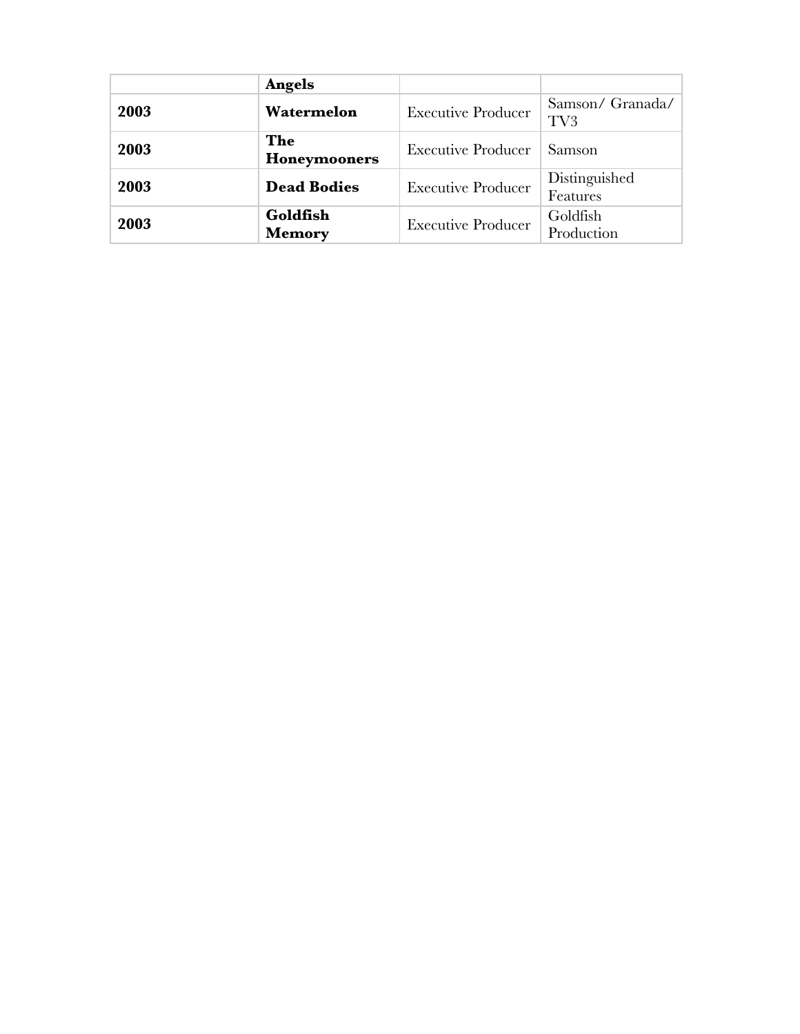|      | <b>Angels</b>              |                           |                           |
|------|----------------------------|---------------------------|---------------------------|
| 2003 | Watermelon                 | <b>Executive Producer</b> | Samson/Granada/<br>TV3    |
| 2003 | The<br><b>Honeymooners</b> | <b>Executive Producer</b> | Samson                    |
| 2003 | <b>Dead Bodies</b>         | <b>Executive Producer</b> | Distinguished<br>Features |
| 2003 | Goldfish<br><b>Memory</b>  | <b>Executive Producer</b> | Goldfish<br>Production    |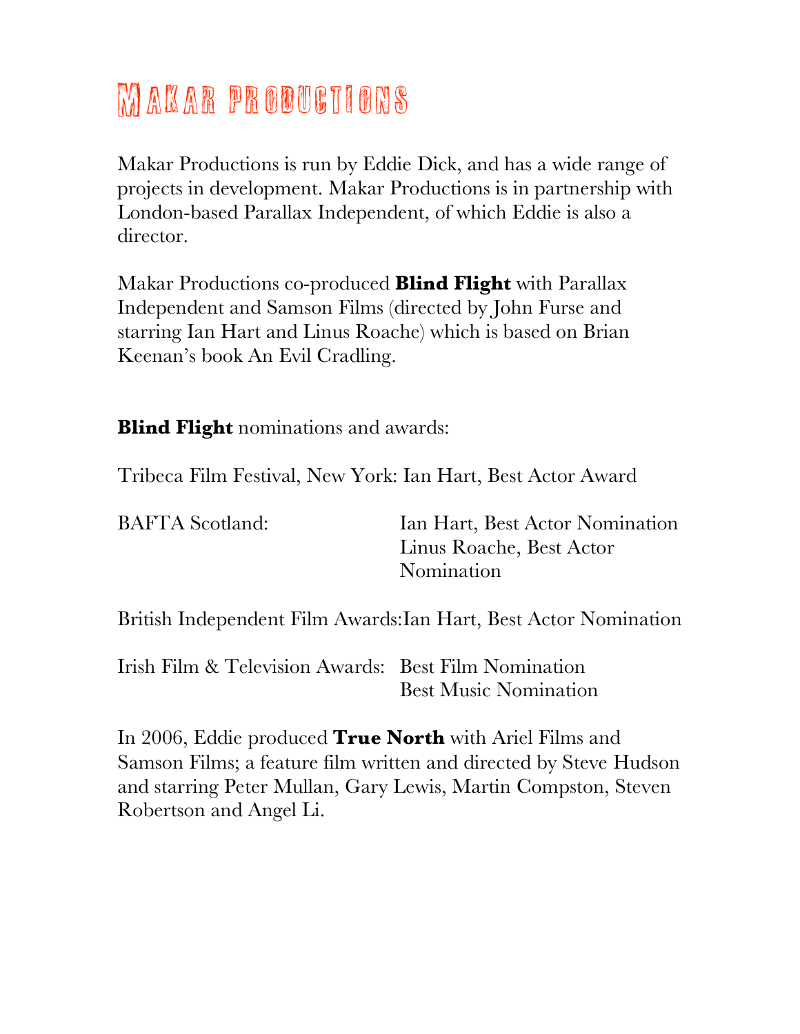### Makar productions

Makar Productions is run by Eddie Dick, and has a wide range of projects in development. Makar Productions is in partnership with London-based Parallax Independent, of which Eddie is also a director.

Makar Productions co-produced **Blind Flight** with Parallax Independent and Samson Films (directed by John Furse and starring Ian Hart and Linus Roache) which is based on Brian Keenan's book An Evil Cradling.

**Blind Flight** nominations and awards:

Tribeca Film Festival, New York: Ian Hart, Best Actor Award

| <b>BAFTA</b> Scotland: | Ian Hart, Best Actor Nomination |
|------------------------|---------------------------------|
|                        | Linus Roache, Best Actor        |
|                        | Nomination                      |

British Independent Film Awards:Ian Hart, Best Actor Nomination

Irish Film & Television Awards: Best Film Nomination Best Music Nomination

In 2006, Eddie produced **True North** with Ariel Films and Samson Films; a feature film written and directed by Steve Hudson and starring Peter Mullan, Gary Lewis, Martin Compston, Steven Robertson and Angel Li.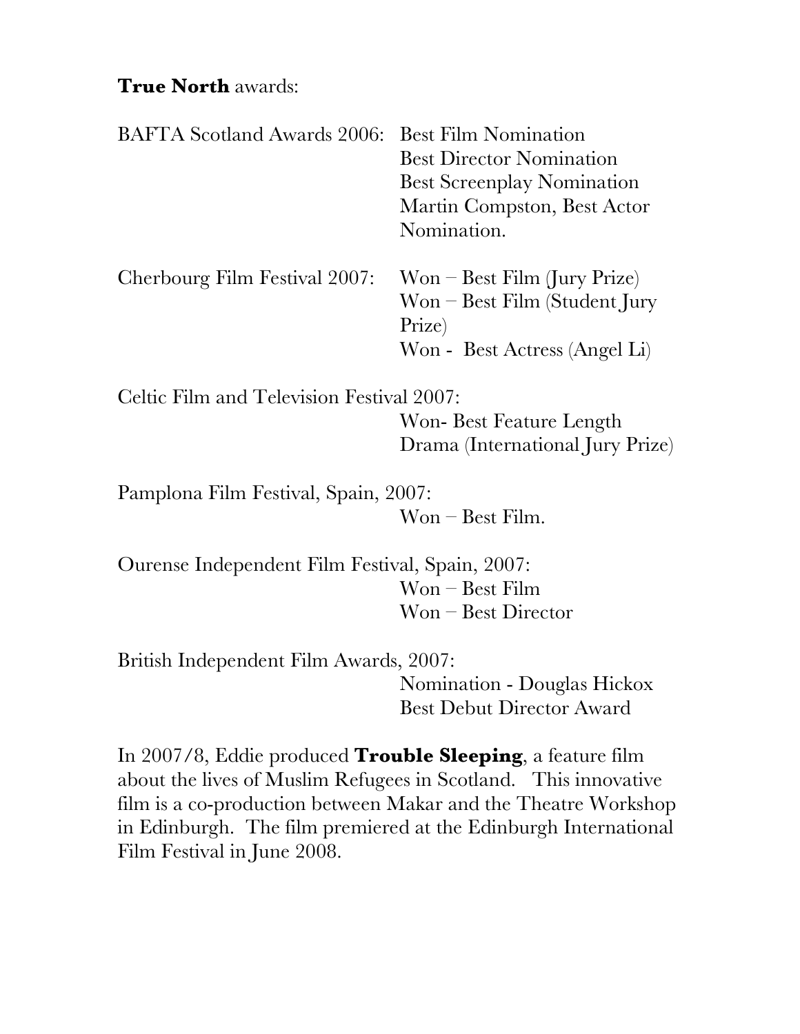#### **True North** awards:

| <b>BAFTA Scotland Awards 2006:</b> | <b>Best Film Nomination</b>       |
|------------------------------------|-----------------------------------|
|                                    | <b>Best Director Nomination</b>   |
|                                    | <b>Best Screenplay Nomination</b> |
|                                    | Martin Compston, Best Actor       |
|                                    | Nomination.                       |
| Cherbourg Film Festival 2007:      | $Won - Best Film (Jury Prize)$    |
|                                    | $Won - Best Film (Student Jury)$  |
|                                    | Prize)                            |
|                                    | Won - Best Actress (Angel Li)     |

Celtic Film and Television Festival 2007:

Won- Best Feature Length Drama (International Jury Prize)

Pamplona Film Festival, Spain, 2007: Won – Best Film.

Ourense Independent Film Festival, Spain, 2007: Won – Best Film Won – Best Director

British Independent Film Awards, 2007: Nomination - Douglas Hickox Best Debut Director Award

In 2007/8, Eddie produced **Trouble Sleeping**, a feature film about the lives of Muslim Refugees in Scotland. This innovative film is a co-production between Makar and the Theatre Workshop in Edinburgh. The film premiered at the Edinburgh International Film Festival in June 2008.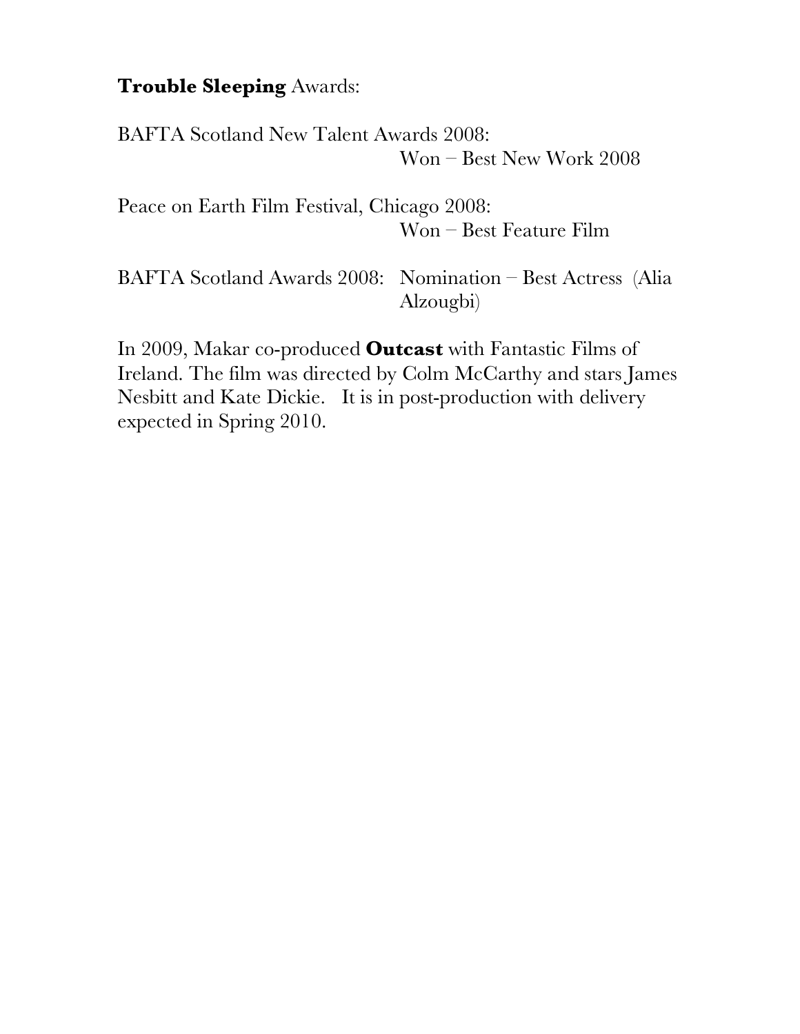#### **Trouble Sleeping** Awards:

BAFTA Scotland New Talent Awards 2008: Won – Best New Work 2008

Peace on Earth Film Festival, Chicago 2008: Won – Best Feature Film

BAFTA Scotland Awards 2008: Nomination – Best Actress (Alia Alzougbi)

In 2009, Makar co-produced **Outcast** with Fantastic Films of Ireland. The film was directed by Colm McCarthy and stars James Nesbitt and Kate Dickie. It is in post-production with delivery expected in Spring 2010.